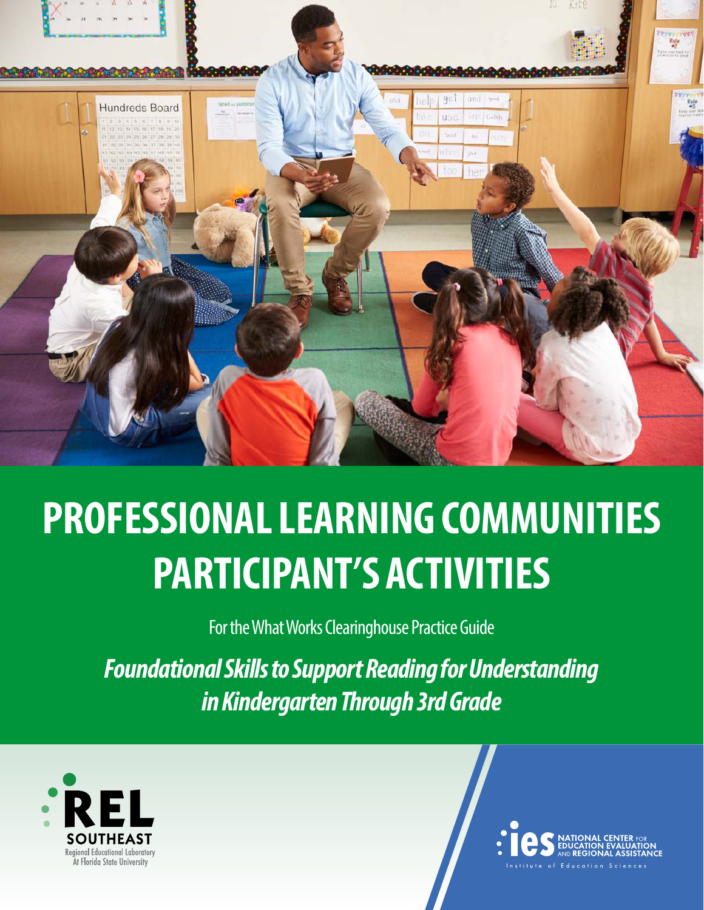

# **PROFESSIONAL LEARNING COMMUNITIES PARTICIPANT'S ACTIVITIES**

For the What Works Clearinghouse Practice Guide

*Foundational Skills to Support Reading for Understanding in Kindergarten Through 3rd Grade*



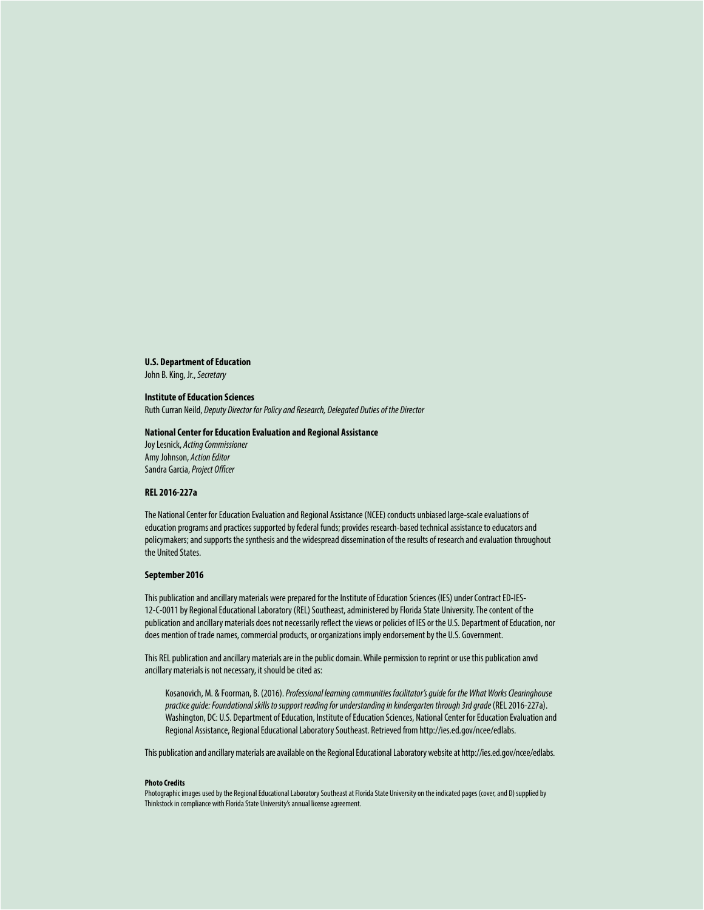#### **U.S. Department of Education**

John B. King, Jr., *Secretary*

#### **Institute of Education Sciences**

Ruth Curran Neild, *Deputy Director for Policy and Research, Delegated Duties of the Director*

#### **National Center for Education Evaluation and Regional Assistance**

Joy Lesnick, *Acting Commissioner* Amy Johnson, *Action Editor* Sandra Garcia, *Project Officer*

#### **REL 2016-227a**

The National Center for Education Evaluation and Regional Assistance (NCEE) conducts unbiased large-scale evaluations of education programs and practices supported by federal funds; provides research-based technical assistance to educators and policymakers; and supports the synthesis and the widespread dissemination of the results of research and evaluation throughout the United States.

#### **September 2016**

This publication and ancillary materials were prepared for the Institute of Education Sciences (IES) under Contract ED-IES-12-C-0011 by Regional Educational Laboratory (REL) Southeast, administered by Florida State University. The content of the publication and ancillary materials does not necessarily reflect the views or policies of IES or the U.S. Department of Education, nor does mention of trade names, commercial products, or organizations imply endorsement by the U.S. Government.

This REL publication and ancillary materials are in the public domain. While permission to reprint or use this publication anvd ancillary materials is not necessary, it should be cited as:

Kosanovich, M. & Foorman, B. (2016). *Professional learning communities facilitator's guide for the What Works Clearinghouse practice guide: Foundational skills to support reading for understanding in kindergarten through 3rd grade* (REL 2016-227a). Washington, DC: U.S. Department of Education, Institute of Education Sciences, National Center for Education Evaluation and Regional Assistance, Regional Educational Laboratory Southeast. Retrieved from<http://ies.ed.gov/ncee/edlabs>.

This publication and ancillary materials are available on the Regional Educational Laboratory website at <http://ies.ed.gov/ncee/edlabs>.

#### **Photo Credits**

Photographic images used by the Regional Educational Laboratory Southeast at Florida State University on the indicated pages (cover, and D) supplied by Thinkstock in compliance with Florida State University's annual license agreement.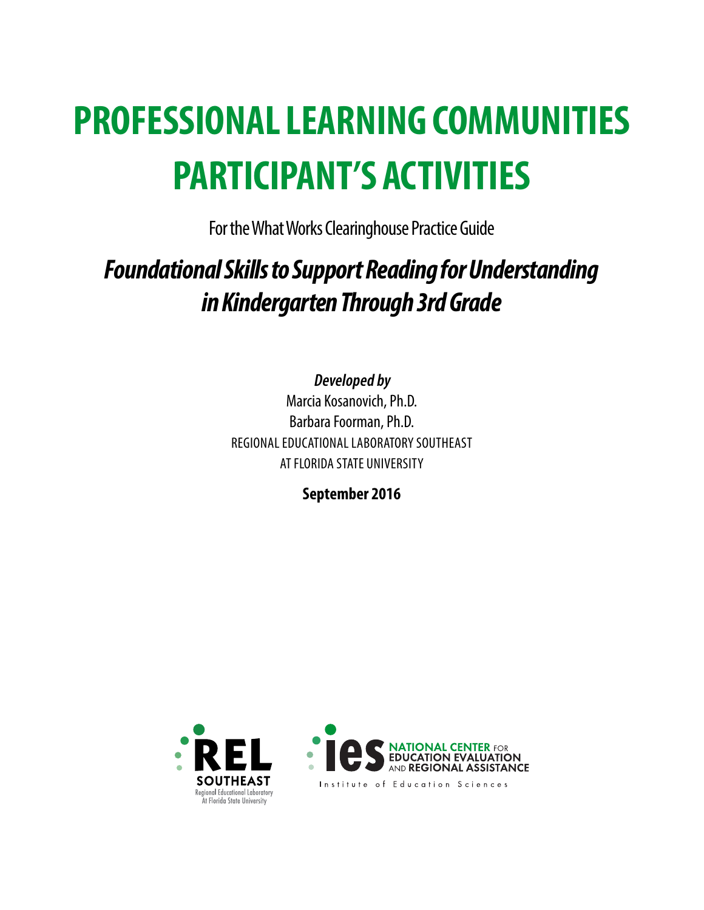# **PROFESSIONAL LEARNING COMMUNITIES PARTICIPANT'S ACTIVITIES**

For the What Works Clearinghouse Practice Guide

### *Foundational Skills to Support Reading for Understanding in Kindergarten Through 3rd Grade*

**Developed by**

Marcia Kosanovich, Ph.D. Barbara Foorman, Ph.D. REGIONAL EDUCATIONAL LABORATORY SOUTHEAST AT FLORIDA STATE UNIVERSITY

**September 2016**



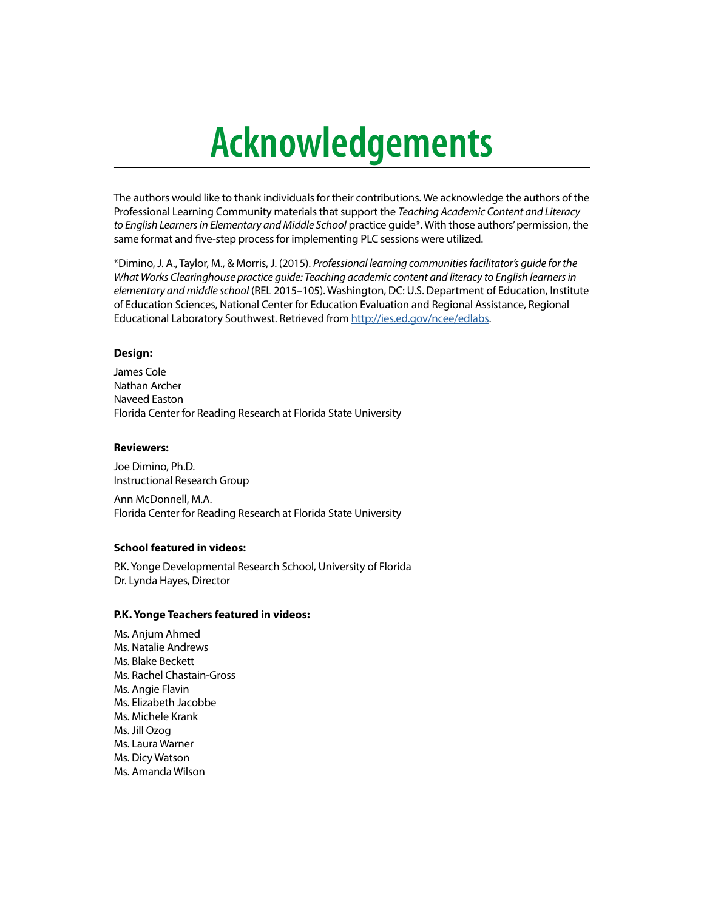# **Acknowledgements**

The authors would like to thank individuals for their contributions. We acknowledge the authors of the Professional Learning Community materials that support the *Teaching Academic Content and Literacy to English Learners in Elementary and Middle School* practice guide\*. With those authors' permission, the same format and five-step process for implementing PLC sessions were utilized.

\*Dimino, J. A., Taylor, M., & Morris, J. (2015). *Professional learning communities facilitator's guide for the What Works Clearinghouse practice guide: Teaching academic content and literacy to English learners in elementary and middle school* (REL 2015–105). Washington, DC: U.S. Department of Education, Institute of Education Sciences, National Center for Education Evaluation and Regional Assistance, Regional Educational Laboratory Southwest. Retrieved from <http://ies.ed.gov/ncee/edlabs>.

#### **Design:**

James Cole Nathan Archer Naveed Easton Florida Center for Reading Research at Florida State University

#### **Reviewers:**

Joe Dimino, Ph.D. Instructional Research Group

Ann McDonnell, M.A. Florida Center for Reading Research at Florida State University

#### **School featured in videos:**

P.K. Yonge Developmental Research School, University of Florida Dr. Lynda Hayes, Director

#### **P.K. Yonge Teachers featured in videos:**

Ms. Anjum Ahmed Ms. Natalie Andrews Ms. Blake Beckett Ms. Rachel Chastain-Gross Ms. Angie Flavin Ms. Elizabeth Jacobbe Ms. Michele Krank Ms. Jill Ozog Ms. Laura Warner Ms. Dicy Watson Ms. Amanda Wilson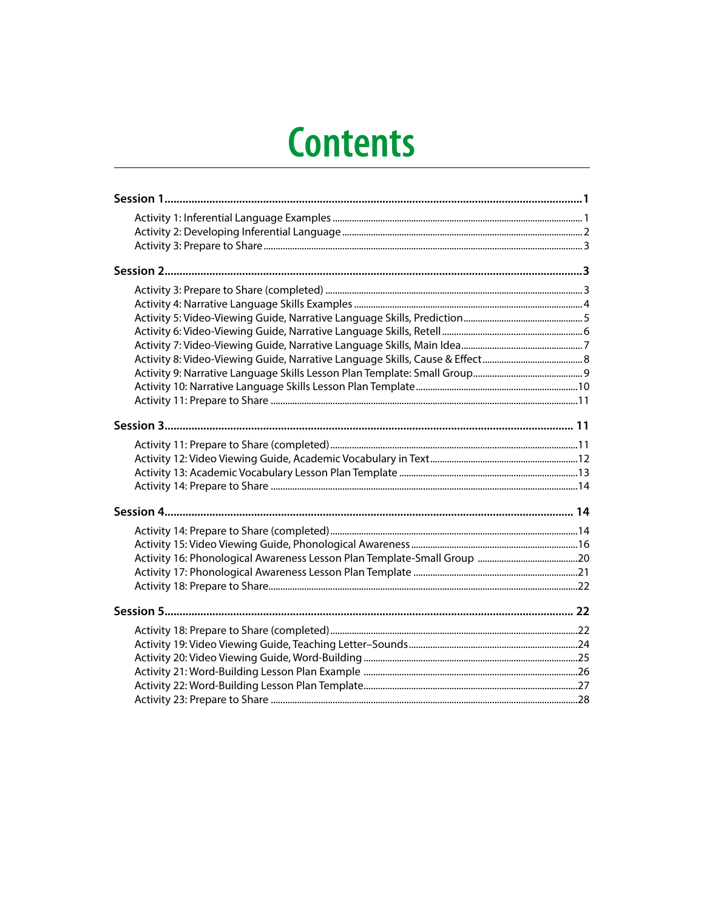# **Contents**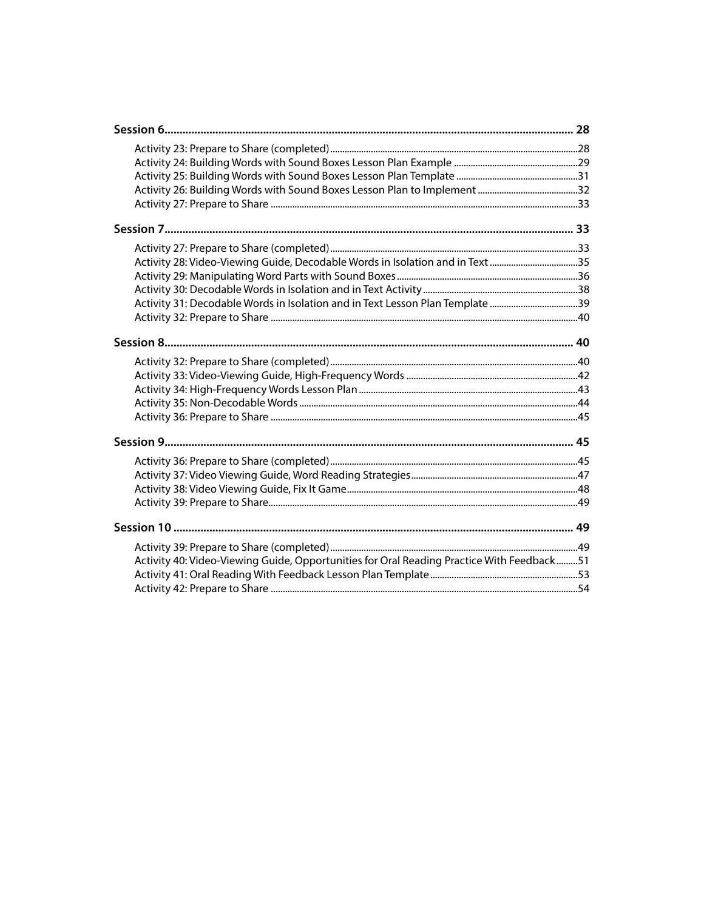| Activity 28: Video-Viewing Guide, Decodable Words in Isolation and in Text 35             |  |
|-------------------------------------------------------------------------------------------|--|
|                                                                                           |  |
|                                                                                           |  |
| Activity 31: Decodable Words in Isolation and in Text Lesson Plan Template 39             |  |
|                                                                                           |  |
|                                                                                           |  |
|                                                                                           |  |
|                                                                                           |  |
|                                                                                           |  |
|                                                                                           |  |
|                                                                                           |  |
|                                                                                           |  |
|                                                                                           |  |
|                                                                                           |  |
|                                                                                           |  |
|                                                                                           |  |
|                                                                                           |  |
|                                                                                           |  |
|                                                                                           |  |
| Activity 40: Video-Viewing Guide, Opportunities for Oral Reading Practice With Feedback51 |  |
|                                                                                           |  |
|                                                                                           |  |
|                                                                                           |  |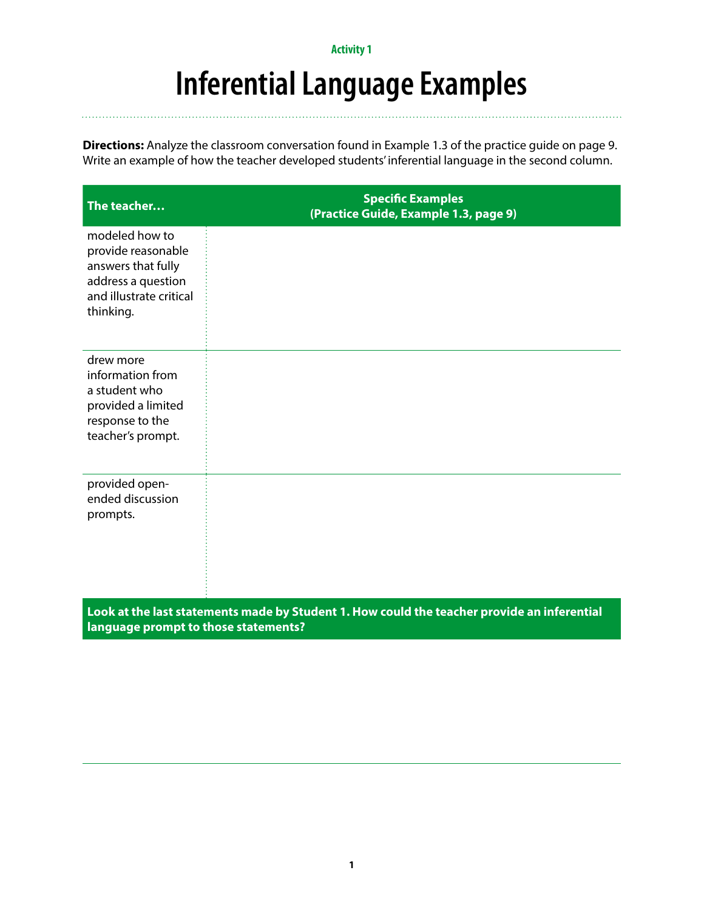### **Inferential Language Examples**

**Directions:** Analyze the classroom conversation found in Example 1.3 of the practice guide on page 9. Write an example of how the teacher developed students' inferential language in the second column.

| The teacher                                                                                                              | <b>Specific Examples</b><br>(Practice Guide, Example 1.3, page 9)                           |
|--------------------------------------------------------------------------------------------------------------------------|---------------------------------------------------------------------------------------------|
| modeled how to<br>provide reasonable<br>answers that fully<br>address a question<br>and illustrate critical<br>thinking. |                                                                                             |
| drew more<br>information from<br>a student who<br>provided a limited<br>response to the<br>teacher's prompt.             |                                                                                             |
| provided open-<br>ended discussion<br>prompts.                                                                           |                                                                                             |
| language prompt to those statements?                                                                                     | Look at the last statements made by Student 1. How could the teacher provide an inferential |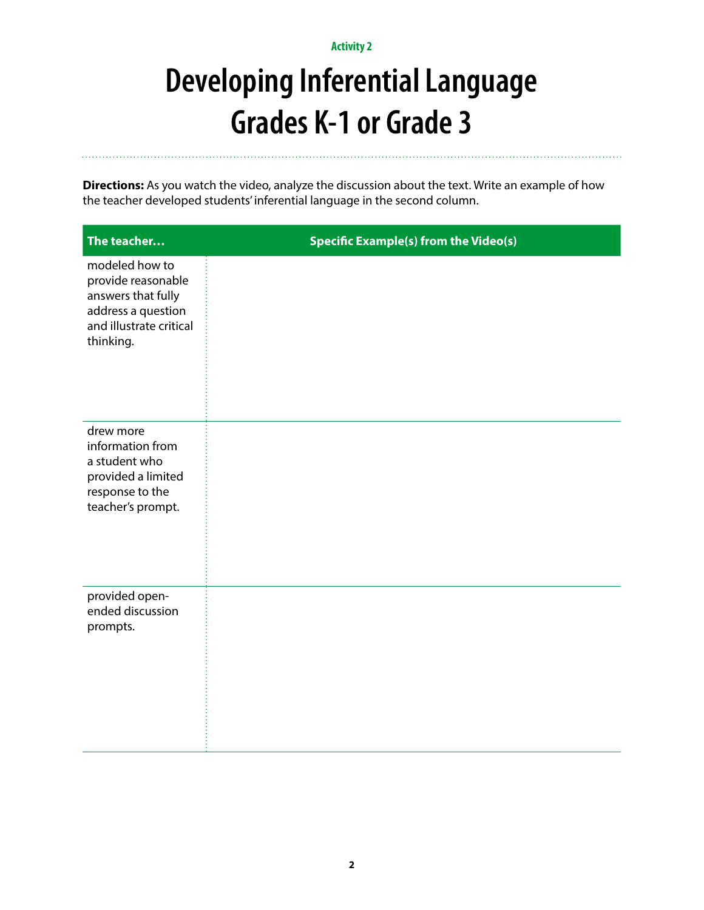# **Developing Inferential Language Grades K-1 or Grade 3**

**Directions:** As you watch the video, analyze the discussion about the text. Write an example of how the teacher developed students' inferential language in the second column.

| The teacher                                                                                                              | <b>Specific Example(s) from the Video(s)</b> |
|--------------------------------------------------------------------------------------------------------------------------|----------------------------------------------|
| modeled how to<br>provide reasonable<br>answers that fully<br>address a question<br>and illustrate critical<br>thinking. |                                              |
| drew more<br>information from<br>a student who<br>provided a limited<br>response to the<br>teacher's prompt.             |                                              |
| provided open-<br>ended discussion<br>prompts.                                                                           |                                              |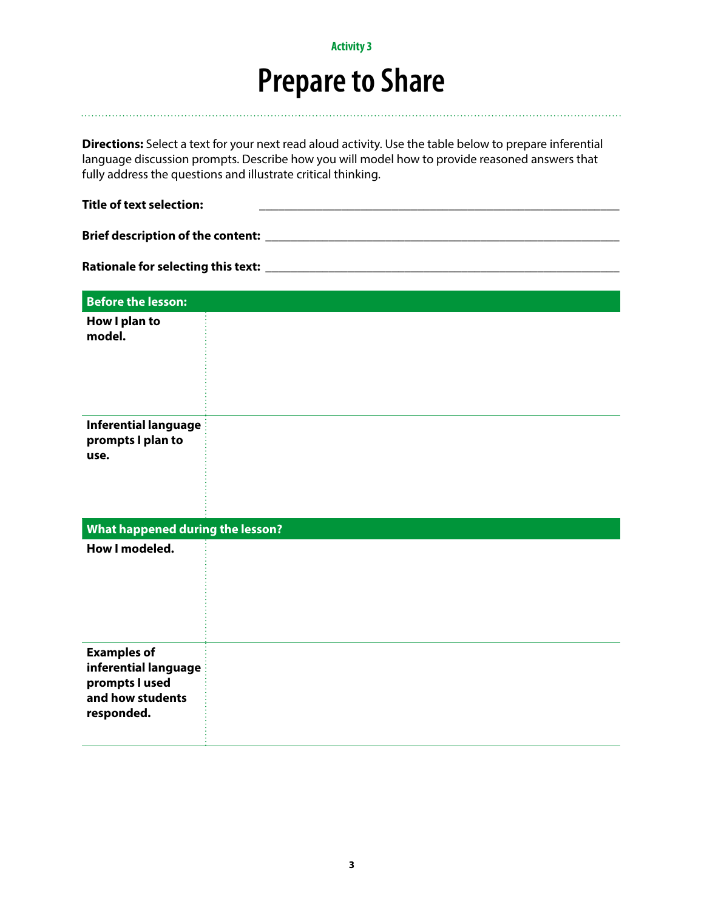### **Prepare to Share**

**Directions:** Select a text for your next read aloud activity. Use the table below to prepare inferential language discussion prompts. Describe how you will model how to provide reasoned answers that fully address the questions and illustrate critical thinking.

| <b>Title of text selection:</b>                                                                |  |  |
|------------------------------------------------------------------------------------------------|--|--|
|                                                                                                |  |  |
|                                                                                                |  |  |
| <b>Before the lesson:</b>                                                                      |  |  |
| How I plan to<br>model.                                                                        |  |  |
| Inferential language<br>prompts I plan to<br>use.                                              |  |  |
| What happened during the lesson?                                                               |  |  |
| How I modeled.                                                                                 |  |  |
| <b>Examples of</b><br>inferential language<br>prompts I used<br>and how students<br>responded. |  |  |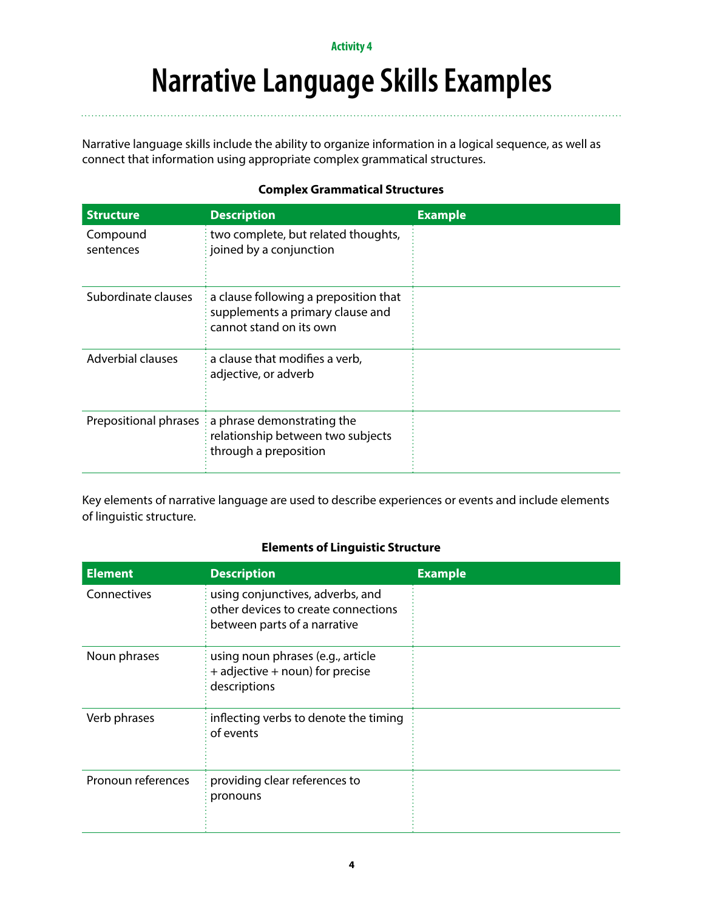### **Narrative Language Skills Examples**

Narrative language skills include the ability to organize information in a logical sequence, as well as connect that information using appropriate complex grammatical structures.

### **Complex Grammatical Structures**

| <b>Structure</b>         | <b>Description</b>                                                                                               | <b>Example</b> |
|--------------------------|------------------------------------------------------------------------------------------------------------------|----------------|
| Compound<br>sentences    | two complete, but related thoughts,<br>$\frac{1}{2}$ joined by a conjunction                                     |                |
| Subordinate clauses      | a clause following a preposition that<br>supplements a primary clause and<br>cannot stand on its own             |                |
| <b>Adverbial clauses</b> | a clause that modifies a verb,<br>adjective, or adverb                                                           |                |
|                          | Prepositional phrases : a phrase demonstrating the<br>relationship between two subjects<br>through a preposition |                |

Key elements of narrative language are used to describe experiences or events and include elements of linguistic structure.

#### **Elements of Linguistic Structure**

| <b>Element</b>     | <b>Description</b>                                                                                      | <b>Example</b> |
|--------------------|---------------------------------------------------------------------------------------------------------|----------------|
| Connectives        | using conjunctives, adverbs, and<br>other devices to create connections<br>between parts of a narrative |                |
| Noun phrases       | using noun phrases (e.g., article<br>$+$ adjective $+$ noun) for precise<br>descriptions                |                |
| Verb phrases       | $\frac{1}{2}$ inflecting verbs to denote the timing<br>of events                                        |                |
| Pronoun references | providing clear references to<br>pronouns                                                               |                |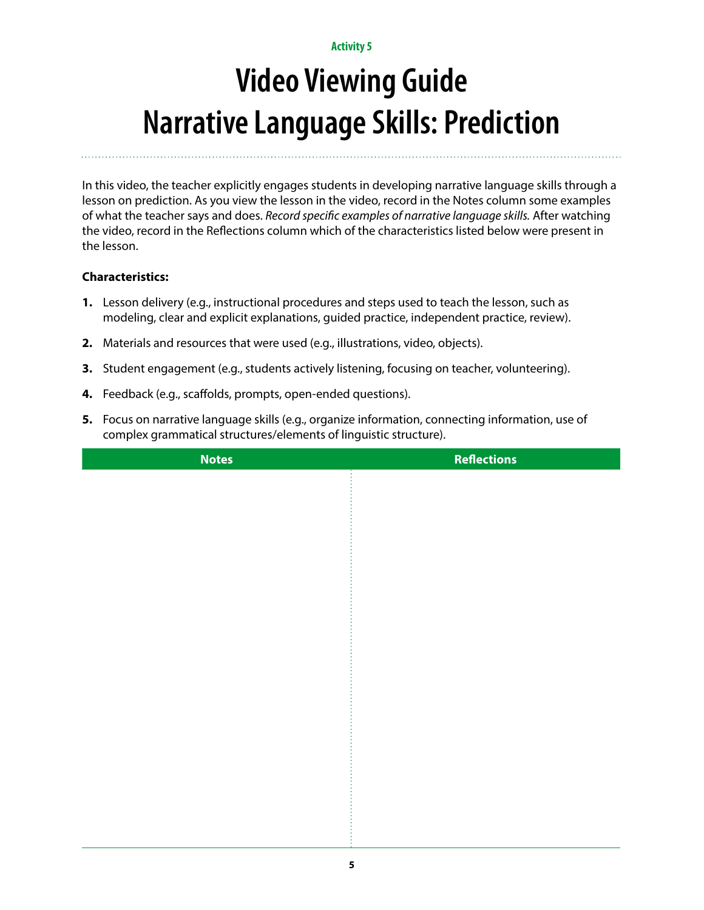# **Video Viewing Guide Narrative Language Skills: Prediction**

In this video, the teacher explicitly engages students in developing narrative language skills through a lesson on prediction. As you view the lesson in the video, record in the Notes column some examples of what the teacher says and does. *Record specific examples of narrative language skills.* After watching the video, record in the Reflections column which of the characteristics listed below were present in the lesson.

- **1.** Lesson delivery (e.g., instructional procedures and steps used to teach the lesson, such as modeling, clear and explicit explanations, guided practice, independent practice, review).
- **2.** Materials and resources that were used (e.g., illustrations, video, objects).
- **3.** Student engagement (e.g., students actively listening, focusing on teacher, volunteering).
- **4.** Feedback (e.g., scaffolds, prompts, open-ended questions).
- **5.** Focus on narrative language skills (e.g., organize information, connecting information, use of complex grammatical structures/elements of linguistic structure).

| <b>Notes</b> | <b>Reflections</b> |
|--------------|--------------------|
|              |                    |
|              |                    |
|              |                    |
|              |                    |
|              |                    |
|              |                    |
|              |                    |
|              |                    |
|              |                    |
|              |                    |
|              |                    |
|              |                    |
|              |                    |
|              |                    |
|              |                    |
|              |                    |
|              |                    |
|              |                    |
|              |                    |
|              |                    |
|              |                    |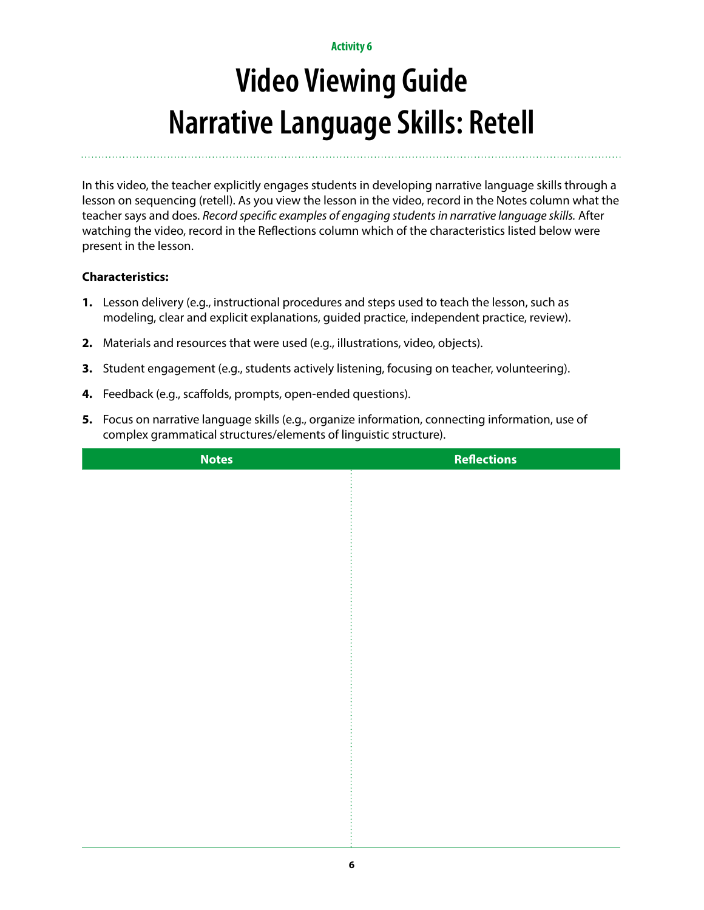# **Video Viewing Guide Narrative Language Skills: Retell**

In this video, the teacher explicitly engages students in developing narrative language skills through a lesson on sequencing (retell). As you view the lesson in the video, record in the Notes column what the teacher says and does. *Record specific examples of engaging students in narrative language skills.* After watching the video, record in the Reflections column which of the characteristics listed below were present in the lesson.

- **1.** Lesson delivery (e.g., instructional procedures and steps used to teach the lesson, such as modeling, clear and explicit explanations, guided practice, independent practice, review).
- **2.** Materials and resources that were used (e.g., illustrations, video, objects).
- **3.** Student engagement (e.g., students actively listening, focusing on teacher, volunteering).
- **4.** Feedback (e.g., scaffolds, prompts, open-ended questions).
- **5.** Focus on narrative language skills (e.g., organize information, connecting information, use of complex grammatical structures/elements of linguistic structure).

| <b>Notes</b> | <b>Reflections</b> |
|--------------|--------------------|
|              |                    |
|              |                    |
|              |                    |
|              |                    |
|              |                    |
|              |                    |
|              |                    |
|              |                    |
|              |                    |
|              |                    |
|              |                    |
|              |                    |
|              |                    |
|              |                    |
|              |                    |
|              |                    |
|              |                    |
|              |                    |
|              |                    |
|              |                    |
|              |                    |
|              |                    |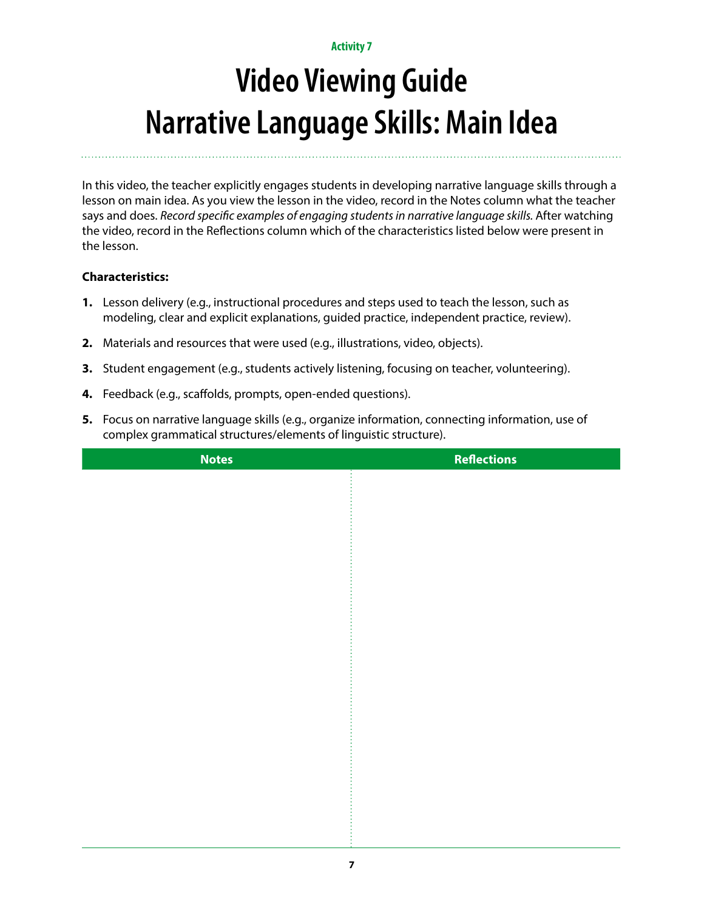# **Video Viewing Guide Narrative Language Skills: Main Idea**

In this video, the teacher explicitly engages students in developing narrative language skills through a lesson on main idea. As you view the lesson in the video, record in the Notes column what the teacher says and does. *Record specific examples of engaging students in narrative language skills*. After watching the video, record in the Reflections column which of the characteristics listed below were present in the lesson.

- **1.** Lesson delivery (e.g., instructional procedures and steps used to teach the lesson, such as modeling, clear and explicit explanations, guided practice, independent practice, review).
- **2.** Materials and resources that were used (e.g., illustrations, video, objects).
- **3.** Student engagement (e.g., students actively listening, focusing on teacher, volunteering).
- **4.** Feedback (e.g., scaffolds, prompts, open-ended questions).
- **5.** Focus on narrative language skills (e.g., organize information, connecting information, use of complex grammatical structures/elements of linguistic structure).

| <b>Notes</b> | <b>Reflections</b> |
|--------------|--------------------|
|              |                    |
|              |                    |
|              |                    |
|              |                    |
|              |                    |
|              |                    |
|              |                    |
|              |                    |
|              |                    |
|              |                    |
|              |                    |
|              |                    |
|              |                    |
|              |                    |
|              |                    |
|              |                    |
|              |                    |
|              |                    |
|              |                    |
|              |                    |
|              |                    |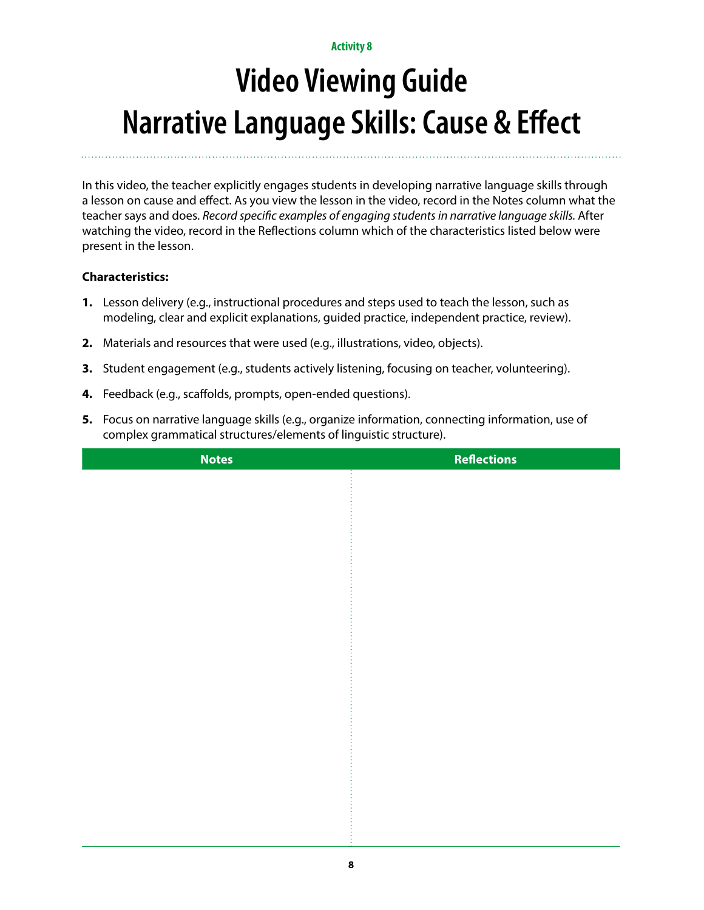# **Video Viewing Guide Narrative Language Skills: Cause & Effect**

In this video, the teacher explicitly engages students in developing narrative language skills through a lesson on cause and effect. As you view the lesson in the video, record in the Notes column what the teacher says and does. *Record specific examples of engaging students in narrative language skills.* After watching the video, record in the Reflections column which of the characteristics listed below were present in the lesson.

- **1.** Lesson delivery (e.g., instructional procedures and steps used to teach the lesson, such as modeling, clear and explicit explanations, guided practice, independent practice, review).
- **2.** Materials and resources that were used (e.g., illustrations, video, objects).
- **3.** Student engagement (e.g., students actively listening, focusing on teacher, volunteering).
- **4.** Feedback (e.g., scaffolds, prompts, open-ended questions).
- **5.** Focus on narrative language skills (e.g., organize information, connecting information, use of complex grammatical structures/elements of linguistic structure).

| <b>Notes</b> | <b>Reflections</b> |
|--------------|--------------------|
|              |                    |
|              |                    |
|              |                    |
|              |                    |
|              |                    |
|              |                    |
|              |                    |
|              |                    |
|              |                    |
|              |                    |
|              |                    |
|              |                    |
|              |                    |
|              |                    |
|              |                    |
|              |                    |
|              |                    |
|              |                    |
|              |                    |
|              |                    |
|              |                    |
|              |                    |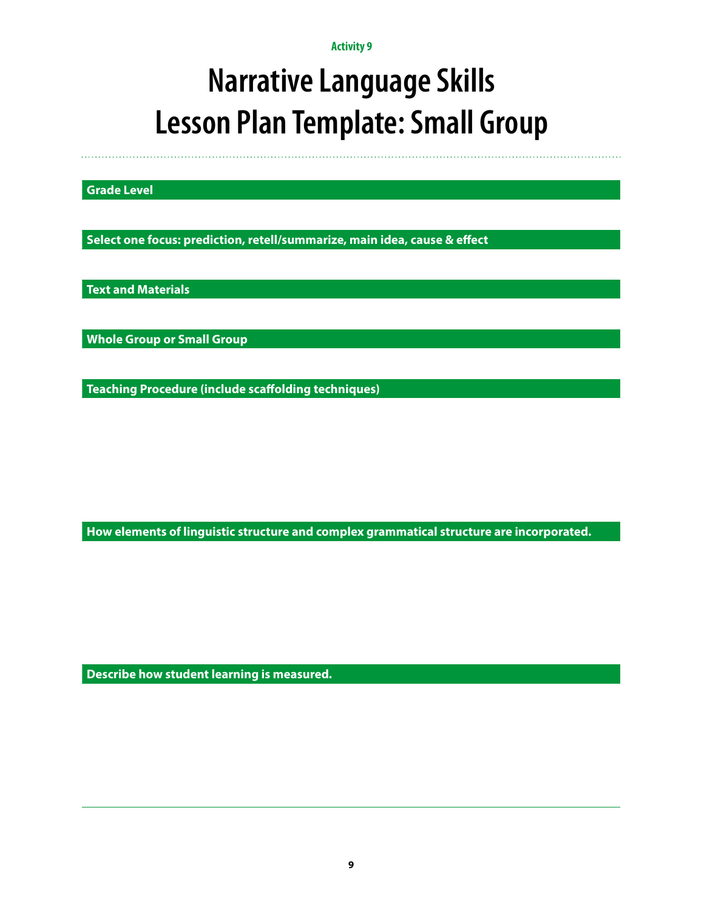### **Narrative Language Skills Lesson Plan Template: Small Group**

**Grade Level**

**Select one focus: prediction, retell/summarize, main idea, cause & effect**

**Text and Materials**

**Whole Group or Small Group**

**Teaching Procedure (include scaffolding techniques)**

**How elements of linguistic structure and complex grammatical structure are incorporated.** 

**Describe how student learning is measured.**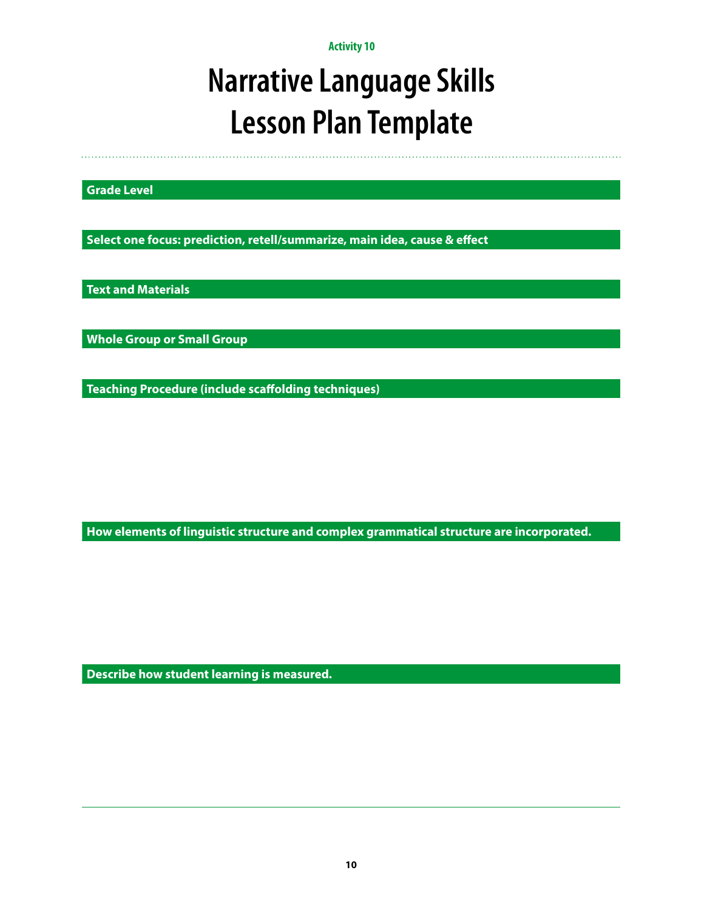## **Narrative Language Skills Lesson Plan Template**

**Grade Level**

**Select one focus: prediction, retell/summarize, main idea, cause & effect**

**Text and Materials**

**Whole Group or Small Group**

**Teaching Procedure (include scaffolding techniques)**

**How elements of linguistic structure and complex grammatical structure are incorporated.** 

**Describe how student learning is measured.**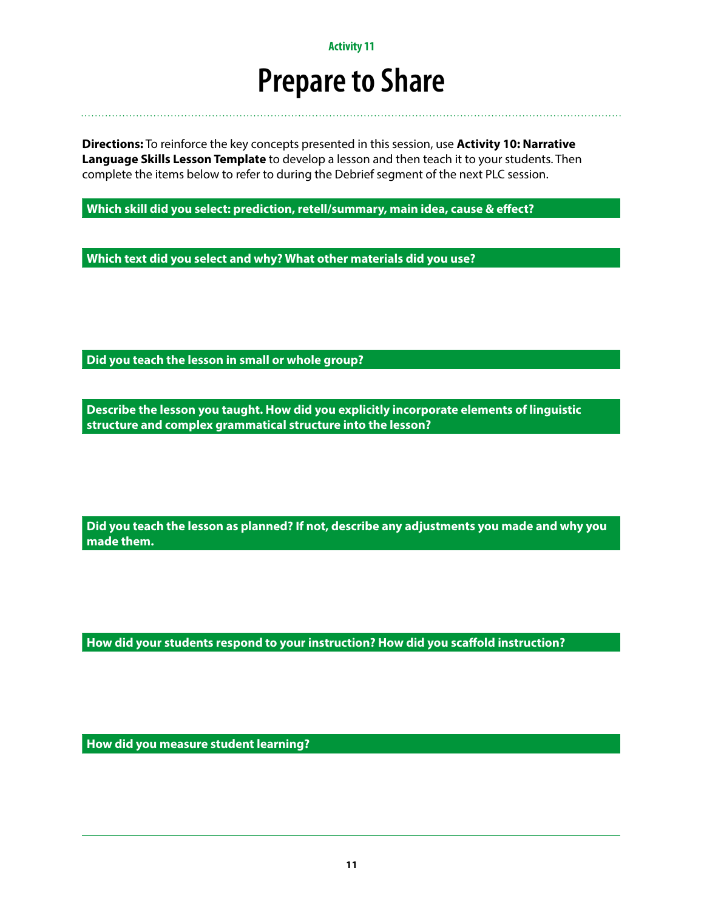### **Prepare to Share**

**Directions:** To reinforce the key concepts presented in this session, use **Activity 10: Narrative Language Skills Lesson Template** to develop a lesson and then teach it to your students. Then complete the items below to refer to during the Debrief segment of the next PLC session.

**Which skill did you select: prediction, retell/summary, main idea, cause & effect?**

**Which text did you select and why? What other materials did you use?**

**Did you teach the lesson in small or whole group?**

**Describe the lesson you taught. How did you explicitly incorporate elements of linguistic structure and complex grammatical structure into the lesson?**

**Did you teach the lesson as planned? If not, describe any adjustments you made and why you made them.**

**How did your students respond to your instruction? How did you scaffold instruction?**

**How did you measure student learning?**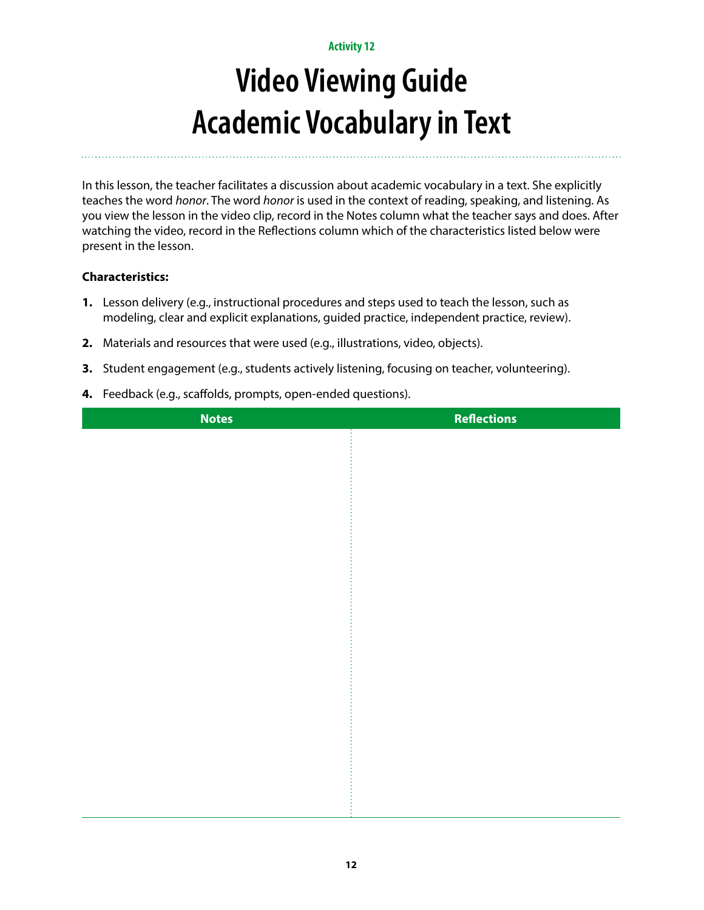# **Video Viewing Guide Academic Vocabulary in Text**

In this lesson, the teacher facilitates a discussion about academic vocabulary in a text. She explicitly teaches the word *honor*. The word *honor* is used in the context of reading, speaking, and listening. As you view the lesson in the video clip, record in the Notes column what the teacher says and does. After watching the video, record in the Reflections column which of the characteristics listed below were present in the lesson.

- **1.** Lesson delivery (e.g., instructional procedures and steps used to teach the lesson, such as modeling, clear and explicit explanations, guided practice, independent practice, review).
- **2.** Materials and resources that were used (e.g., illustrations, video, objects).
- **3.** Student engagement (e.g., students actively listening, focusing on teacher, volunteering).
- **4.** Feedback (e.g., scaffolds, prompts, open-ended questions).

| <b>Notes</b> | <b>Reflections</b> |
|--------------|--------------------|
|              |                    |
|              |                    |
|              |                    |
|              |                    |
|              |                    |
|              |                    |
|              |                    |
|              |                    |
|              |                    |
|              |                    |
|              |                    |
|              |                    |
|              |                    |
|              |                    |
|              |                    |
|              |                    |
|              |                    |
|              |                    |
|              |                    |
|              |                    |
|              |                    |
|              |                    |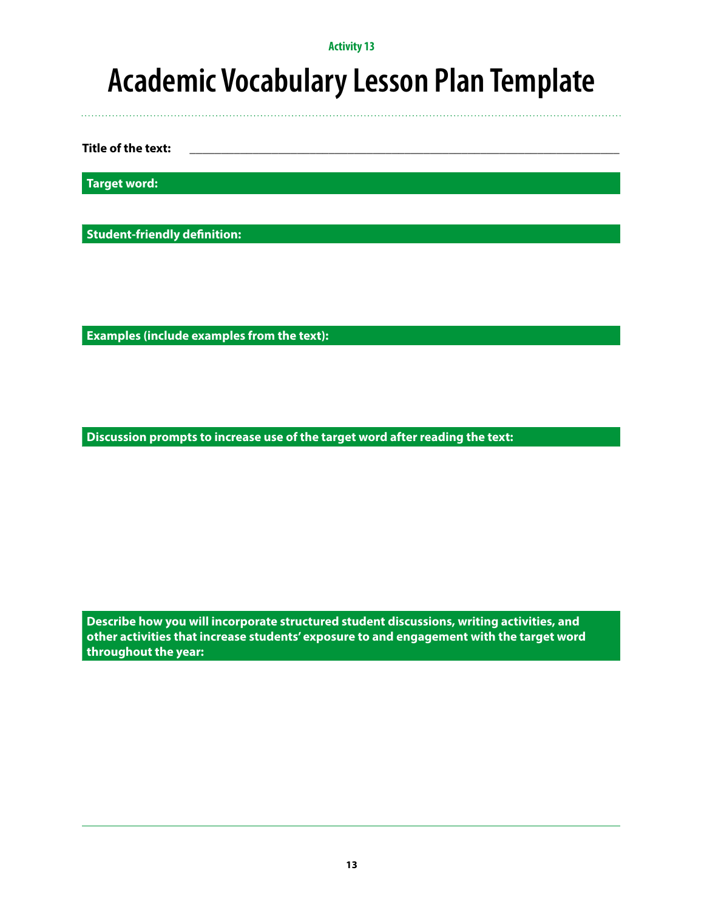### **Academic Vocabulary Lesson Plan Template**

**Title of the text:** 

**Target word:**

**Student-friendly definition:**

**Examples (include examples from the text):**

**Discussion prompts to increase use of the target word after reading the text:**

**Describe how you will incorporate structured student discussions, writing activities, and other activities that increase students' exposure to and engagement with the target word throughout the year:**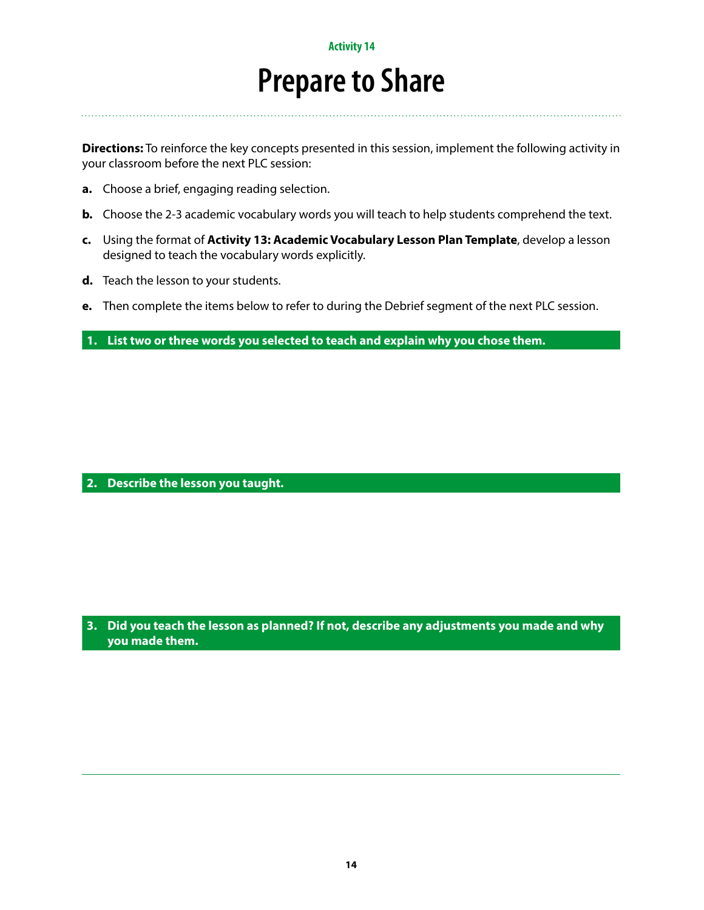### **Prepare to Share**

**Directions:** To reinforce the key concepts presented in this session, implement the following activity in your classroom before the next PLC session:

- **a.** Choose a brief, engaging reading selection.
- **b.** Choose the 2-3 academic vocabulary words you will teach to help students comprehend the text.
- **c.** Using the format of **Activity 13: Academic Vocabulary Lesson Plan Template**, develop a lesson designed to teach the vocabulary words explicitly.
- **d.** Teach the lesson to your students.
- **e.** Then complete the items below to refer to during the Debrief segment of the next PLC session.

**1. List two or three words you selected to teach and explain why you chose them.**

#### **2. Describe the lesson you taught.**

**3. Did you teach the lesson as planned? If not, describe any adjustments you made and why you made them.**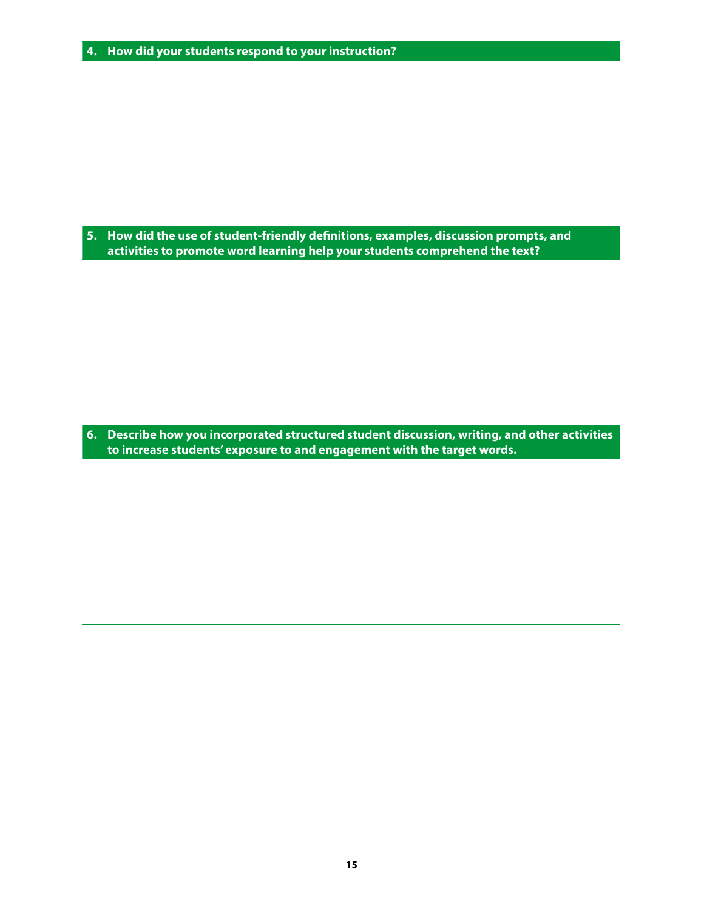**5. How did the use of student-friendly definitions, examples, discussion prompts, and activities to promote word learning help your students comprehend the text?**

**6. Describe how you incorporated structured student discussion, writing, and other activities to increase students' exposure to and engagement with the target words.**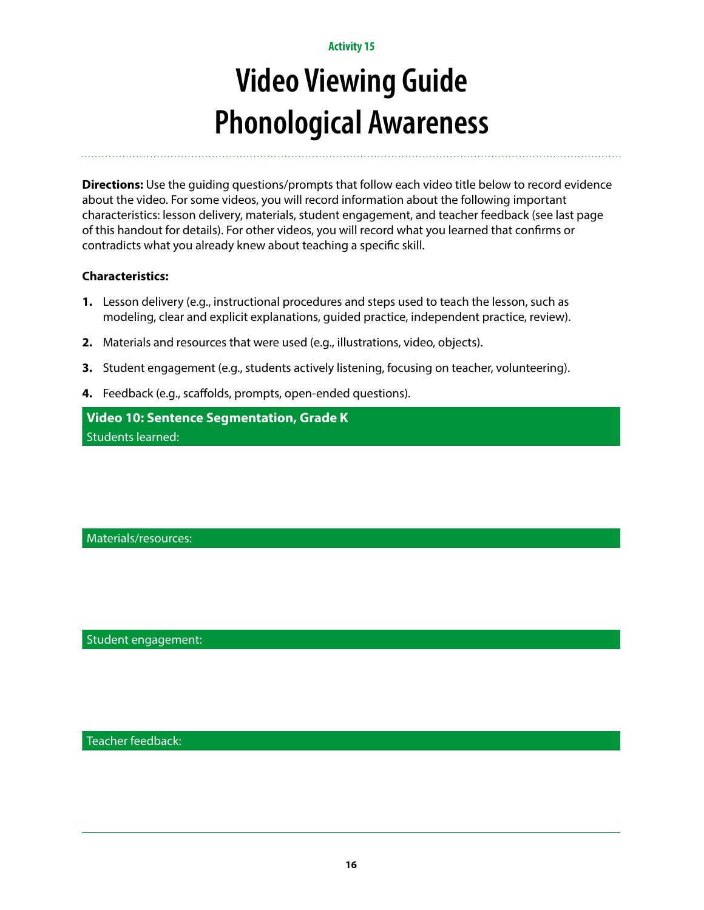# **Video Viewing Guide Phonological Awareness**

**Directions:** Use the guiding questions/prompts that follow each video title below to record evidence about the video. For some videos, you will record information about the following important characteristics: lesson delivery, materials, student engagement, and teacher feedback (see last page of this handout for details). For other videos, you will record what you learned that confirms or contradicts what you already knew about teaching a specific skill.

### **Characteristics:**

- **1.** Lesson delivery (e.g., instructional procedures and steps used to teach the lesson, such as modeling, clear and explicit explanations, guided practice, independent practice, review).
- **2.** Materials and resources that were used (e.g., illustrations, video, objects).
- **3.** Student engagement (e.g., students actively listening, focusing on teacher, volunteering).
- **4.** Feedback (e.g., scaffolds, prompts, open-ended questions).

**Video 10: Sentence Segmentation, Grade K** Students learned:

Materials/resources:

Student engagement:

Teacher feedback: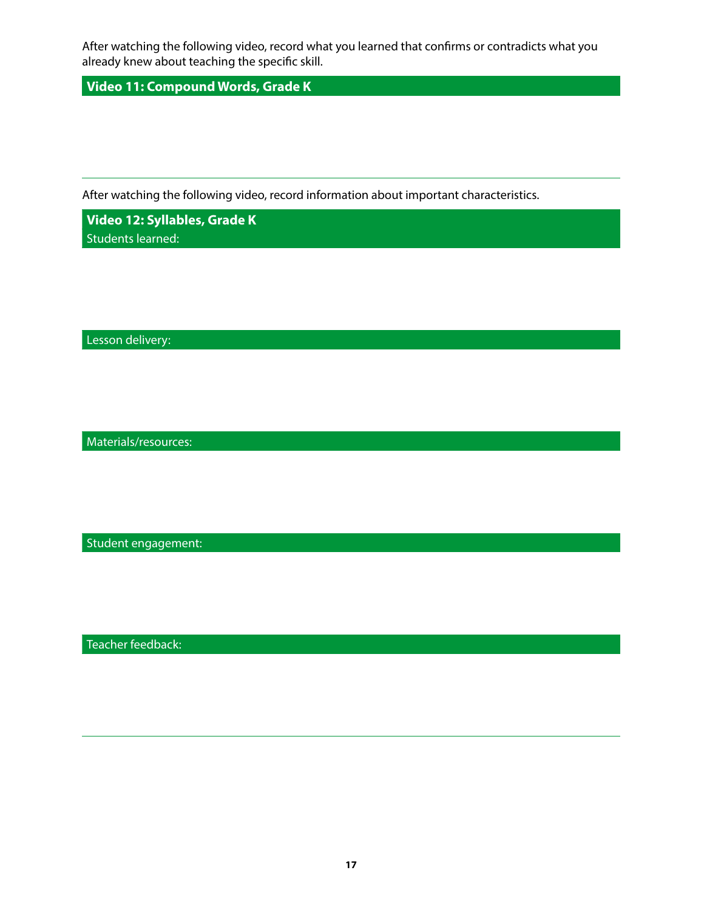After watching the following video, record what you learned that confirms or contradicts what you already knew about teaching the specific skill.

**Video 11: Compound Words, Grade K** 

After watching the following video, record information about important characteristics.

**Video 12: Syllables, Grade K** Students learned:

Lesson delivery:

Materials/resources:

Student engagement:

Teacher feedback: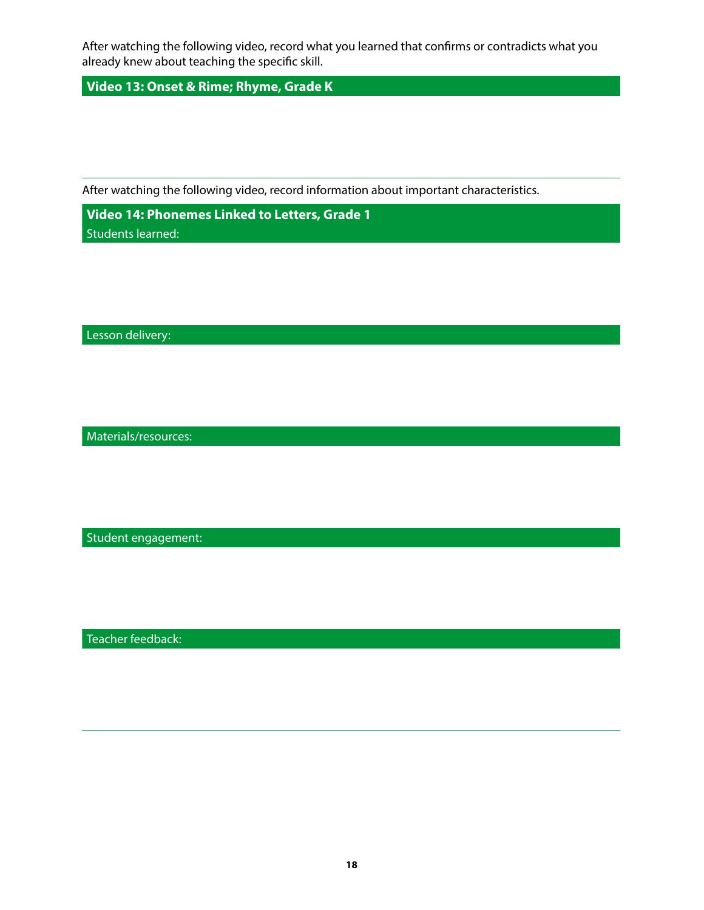After watching the following video, record what you learned that confirms or contradicts what you already knew about teaching the specific skill.

**Video 13: Onset & Rime; Rhyme, Grade K** 

After watching the following video, record information about important characteristics.

**Video 14: Phonemes Linked to Letters, Grade 1** Students learned:

Lesson delivery:

Materials/resources:

Student engagement:

Teacher feedback: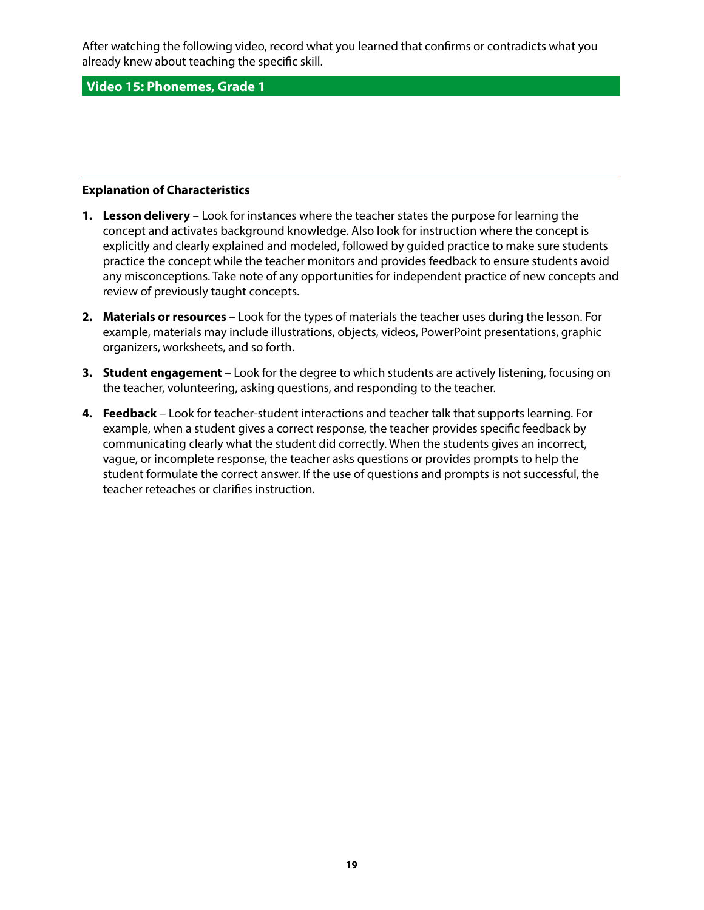After watching the following video, record what you learned that confirms or contradicts what you already knew about teaching the specific skill.

**Video 15: Phonemes, Grade 1** 

#### **Explanation of Characteristics**

- **1. Lesson delivery** Look for instances where the teacher states the purpose for learning the concept and activates background knowledge. Also look for instruction where the concept is explicitly and clearly explained and modeled, followed by guided practice to make sure students practice the concept while the teacher monitors and provides feedback to ensure students avoid any misconceptions. Take note of any opportunities for independent practice of new concepts and review of previously taught concepts.
- **2. Materials or resources** Look for the types of materials the teacher uses during the lesson. For example, materials may include illustrations, objects, videos, PowerPoint presentations, graphic organizers, worksheets, and so forth.
- **3. Student engagement** Look for the degree to which students are actively listening, focusing on the teacher, volunteering, asking questions, and responding to the teacher.
- **4. Feedback** Look for teacher-student interactions and teacher talk that supports learning. For example, when a student gives a correct response, the teacher provides specific feedback by communicating clearly what the student did correctly. When the students gives an incorrect, vague, or incomplete response, the teacher asks questions or provides prompts to help the student formulate the correct answer. If the use of questions and prompts is not successful, the teacher reteaches or clarifies instruction.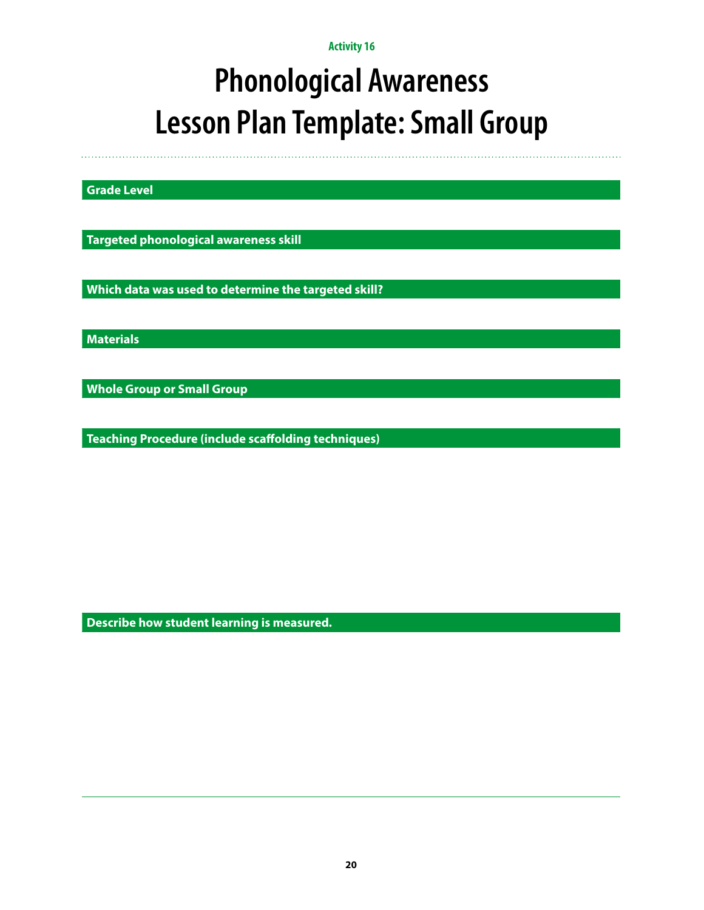# **Phonological Awareness Lesson Plan Template: Small Group**

**Grade Level**

**Targeted phonological awareness skill**

**Which data was used to determine the targeted skill?**

**Materials**

**Whole Group or Small Group**

**Teaching Procedure (include scaffolding techniques)**

**Describe how student learning is measured.**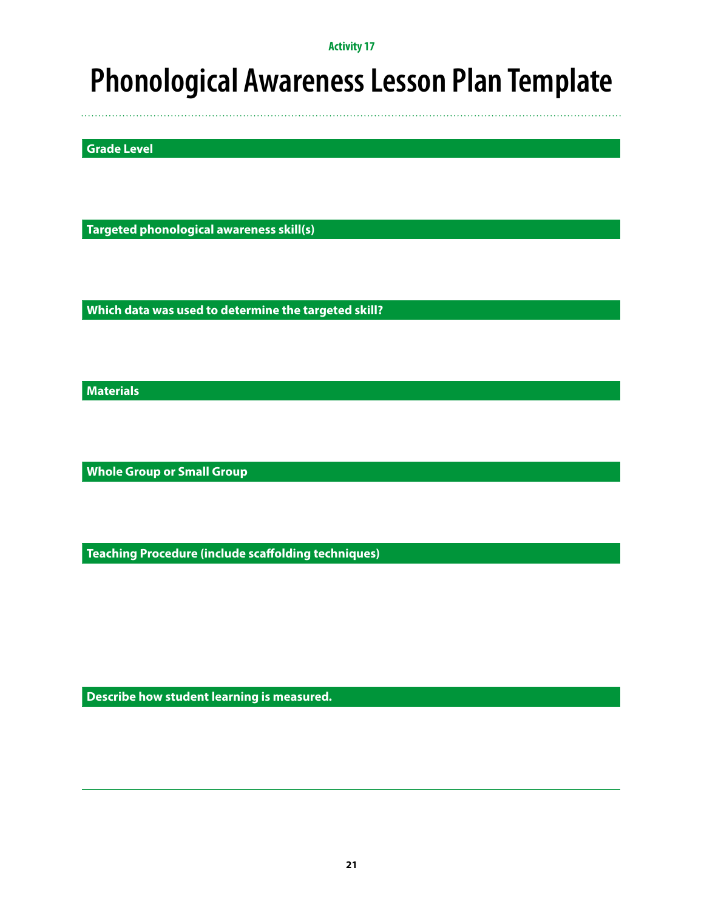### **Phonological Awareness Lesson Plan Template**

**Grade Level**

**Targeted phonological awareness skill(s)**

**Which data was used to determine the targeted skill?**

**Materials**

**Whole Group or Small Group**

**Teaching Procedure (include scaffolding techniques)**

**Describe how student learning is measured.**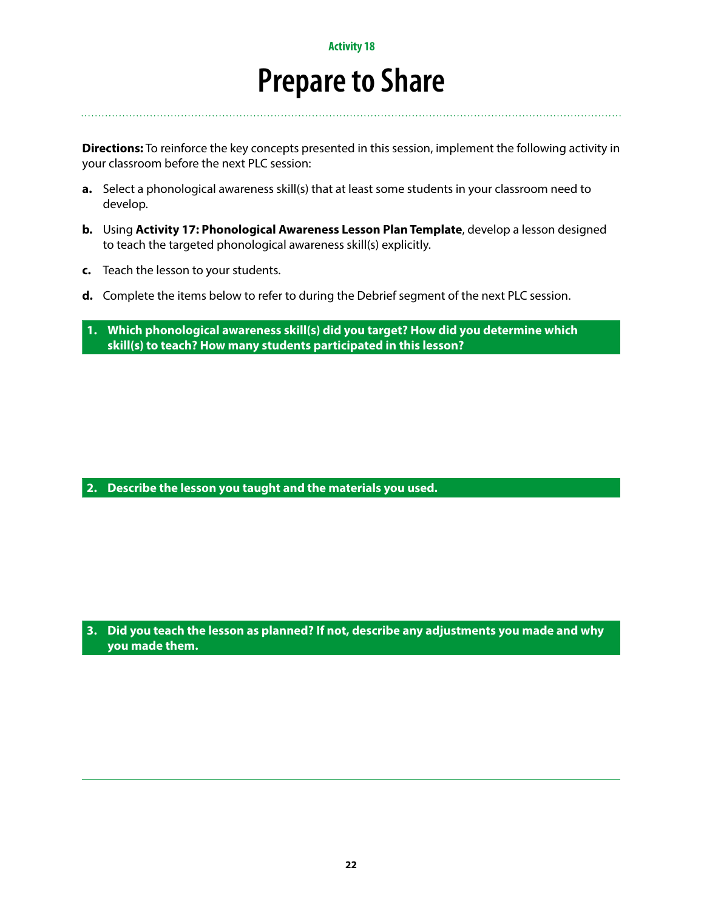### **Prepare to Share**

**Directions:** To reinforce the key concepts presented in this session, implement the following activity in your classroom before the next PLC session:

- **a.** Select a phonological awareness skill(s) that at least some students in your classroom need to develop.
- **b.** Using **Activity 17: Phonological Awareness Lesson Plan Template**, develop a lesson designed to teach the targeted phonological awareness skill(s) explicitly.
- **c.** Teach the lesson to your students.
- **d.** Complete the items below to refer to during the Debrief segment of the next PLC session.
- **1. Which phonological awareness skill(s) did you target? How did you determine which skill(s) to teach? How many students participated in this lesson?**

**2. Describe the lesson you taught and the materials you used.**

**3. Did you teach the lesson as planned? If not, describe any adjustments you made and why you made them.**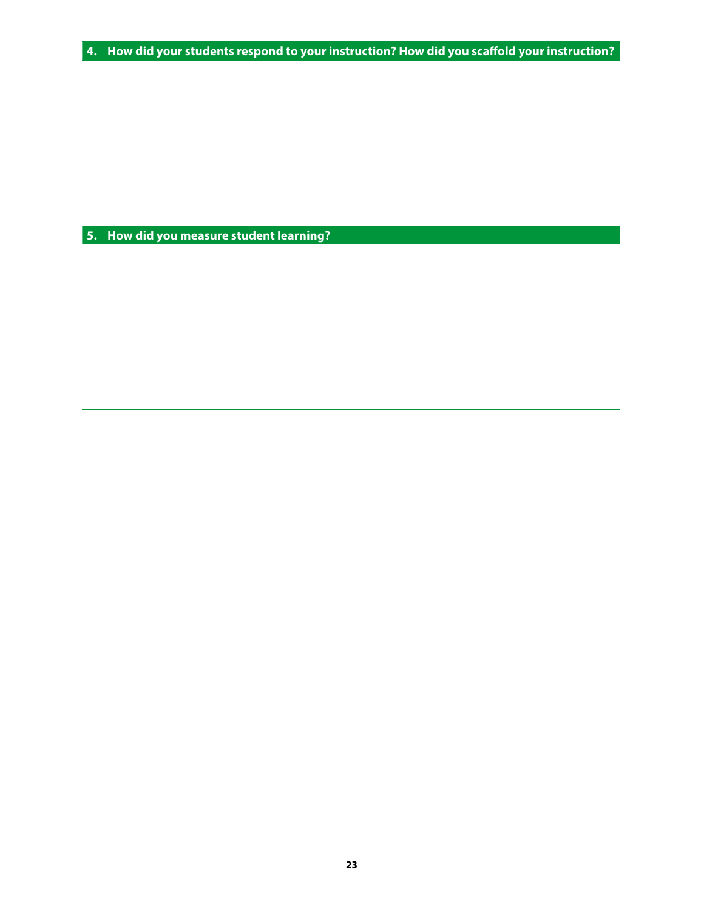**4. How did your students respond to your instruction? How did you scaffold your instruction?**

**5. How did you measure student learning?**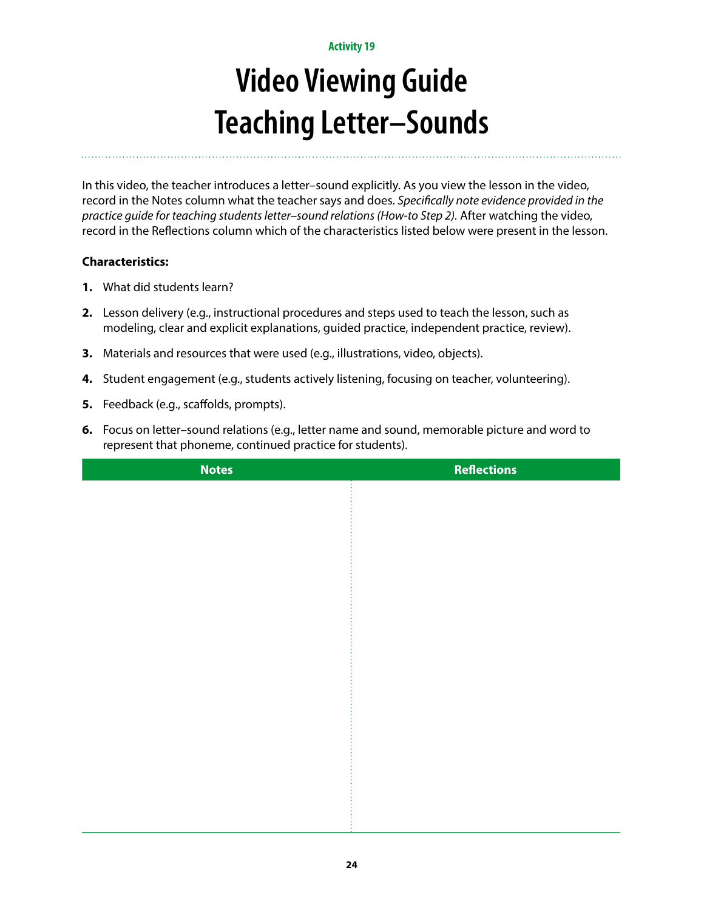# **Video Viewing Guide Teaching Letter–Sounds**

In this video, the teacher introduces a letter–sound explicitly. As you view the lesson in the video, record in the Notes column what the teacher says and does. *Specifically note evidence provided in the practice guide for teaching students letter–sound relations (How-to Step 2).* After watching the video, record in the Reflections column which of the characteristics listed below were present in the lesson.

- **1.** What did students learn?
- **2.** Lesson delivery (e.g., instructional procedures and steps used to teach the lesson, such as modeling, clear and explicit explanations, guided practice, independent practice, review).
- **3.** Materials and resources that were used (e.g., illustrations, video, objects).
- **4.** Student engagement (e.g., students actively listening, focusing on teacher, volunteering).
- **5.** Feedback (e.g., scaffolds, prompts).
- **6.** Focus on letter–sound relations (e.g., letter name and sound, memorable picture and word to represent that phoneme, continued practice for students).

| <b>Notes</b> | <b>Reflections</b> |
|--------------|--------------------|
|              |                    |
|              |                    |
|              |                    |
|              |                    |
|              |                    |
|              |                    |
|              |                    |
|              |                    |
|              |                    |
|              |                    |
|              |                    |
|              |                    |
|              |                    |
|              |                    |
|              |                    |
|              |                    |
|              |                    |
|              |                    |
|              |                    |
|              |                    |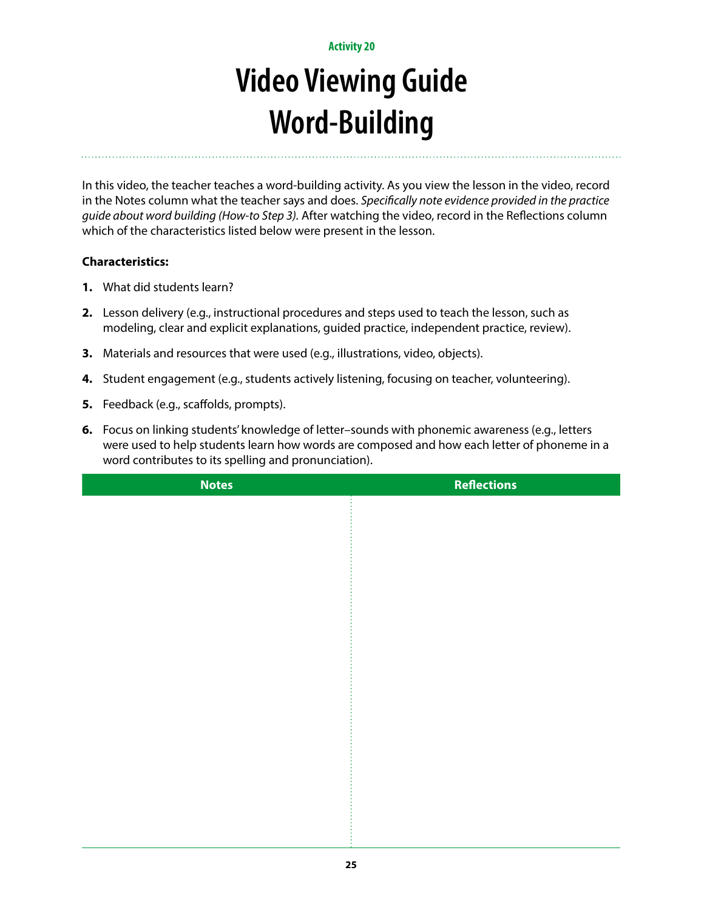## **Video Viewing Guide Word-Building**

In this video, the teacher teaches a word-building activity. As you view the lesson in the video, record in the Notes column what the teacher says and does. *Specifically note evidence provided in the practice guide about word building (How-to Step 3).* After watching the video, record in the Reflections column which of the characteristics listed below were present in the lesson.

- **1.** What did students learn?
- **2.** Lesson delivery (e.g., instructional procedures and steps used to teach the lesson, such as modeling, clear and explicit explanations, guided practice, independent practice, review).
- **3.** Materials and resources that were used (e.g., illustrations, video, objects).
- **4.** Student engagement (e.g., students actively listening, focusing on teacher, volunteering).
- **5.** Feedback (e.g., scaffolds, prompts).
- **6.** Focus on linking students' knowledge of letter–sounds with phonemic awareness (e.g., letters were used to help students learn how words are composed and how each letter of phoneme in a word contributes to its spelling and pronunciation).

| <b>Notes</b> | <b>Reflections</b> |
|--------------|--------------------|
|              |                    |
|              |                    |
|              |                    |
|              |                    |
|              |                    |
|              |                    |
|              |                    |
|              |                    |
|              |                    |
|              |                    |
|              |                    |
|              |                    |
|              |                    |
|              |                    |
|              |                    |
|              |                    |
|              |                    |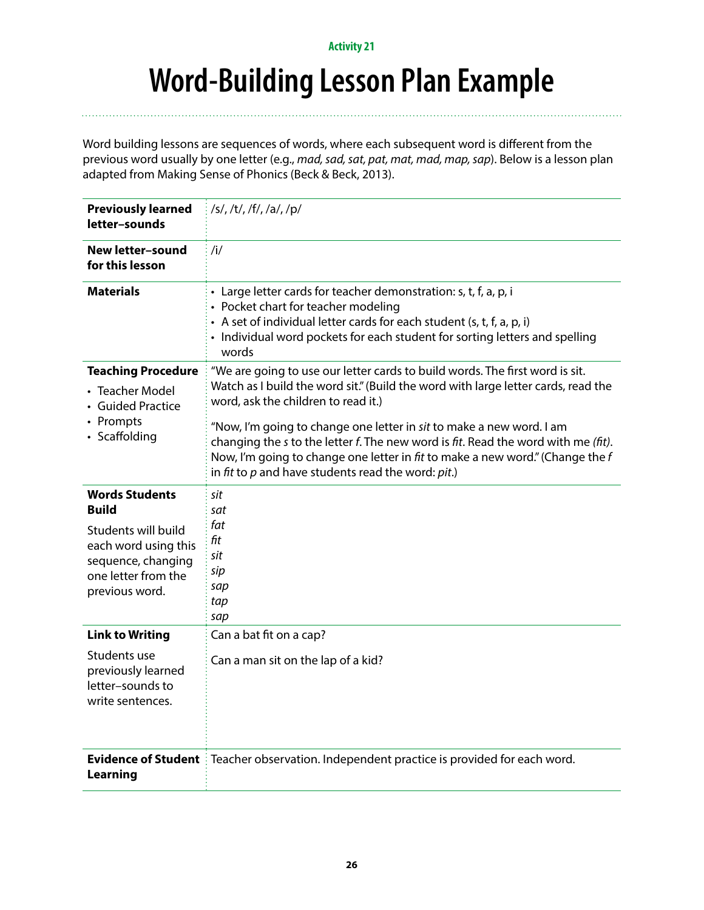### **Word-Building Lesson Plan Example**

Word building lessons are sequences of words, where each subsequent word is different from the previous word usually by one letter (e.g., *mad, sad, sat, pat, mat, mad, map, sap*). Below is a lesson plan adapted from Making Sense of Phonics (Beck & Beck, 2013).

| <b>Previously learned</b><br>letter-sounds                                                                                                          | /s/, /t/, /f/, /a/, /p/                                                                                                                                                                                                                                                                                                    |
|-----------------------------------------------------------------------------------------------------------------------------------------------------|----------------------------------------------------------------------------------------------------------------------------------------------------------------------------------------------------------------------------------------------------------------------------------------------------------------------------|
| <b>New letter-sound</b><br>for this lesson                                                                                                          | /i/                                                                                                                                                                                                                                                                                                                        |
| <b>Materials</b>                                                                                                                                    | • Large letter cards for teacher demonstration: s, t, f, a, p, i<br>• Pocket chart for teacher modeling<br>• A set of individual letter cards for each student (s, t, f, a, p, i)<br>• Individual word pockets for each student for sorting letters and spelling<br>words                                                  |
| <b>Teaching Procedure</b><br>• Teacher Model<br>• Guided Practice                                                                                   | "We are going to use our letter cards to build words. The first word is sit.<br>Watch as I build the word sit." (Build the word with large letter cards, read the<br>word, ask the children to read it.)                                                                                                                   |
| • Prompts<br>• Scaffolding                                                                                                                          | "Now, I'm going to change one letter in sit to make a new word. I am<br>changing the s to the letter $f$ . The new word is $\hat{f}$ t. Read the word with me $(\hat{f}t)$ .<br>Now, I'm going to change one letter in fit to make a new word." (Change the $f$<br>in fit to $p$ and have students read the word: $pit.$ ) |
| <b>Words Students</b><br><b>Build</b><br>Students will build<br>each word using this<br>sequence, changing<br>one letter from the<br>previous word. | sit<br>sat<br>fat<br>fit<br>sit<br>sip<br>sap                                                                                                                                                                                                                                                                              |
|                                                                                                                                                     | tap<br>sap                                                                                                                                                                                                                                                                                                                 |
| <b>Link to Writing</b><br>Students use<br>previously learned<br>letter-sounds to<br>write sentences.                                                | Can a bat fit on a cap?<br>Can a man sit on the lap of a kid?                                                                                                                                                                                                                                                              |
| <b>Learning</b>                                                                                                                                     | Evidence of Student : Teacher observation. Independent practice is provided for each word.                                                                                                                                                                                                                                 |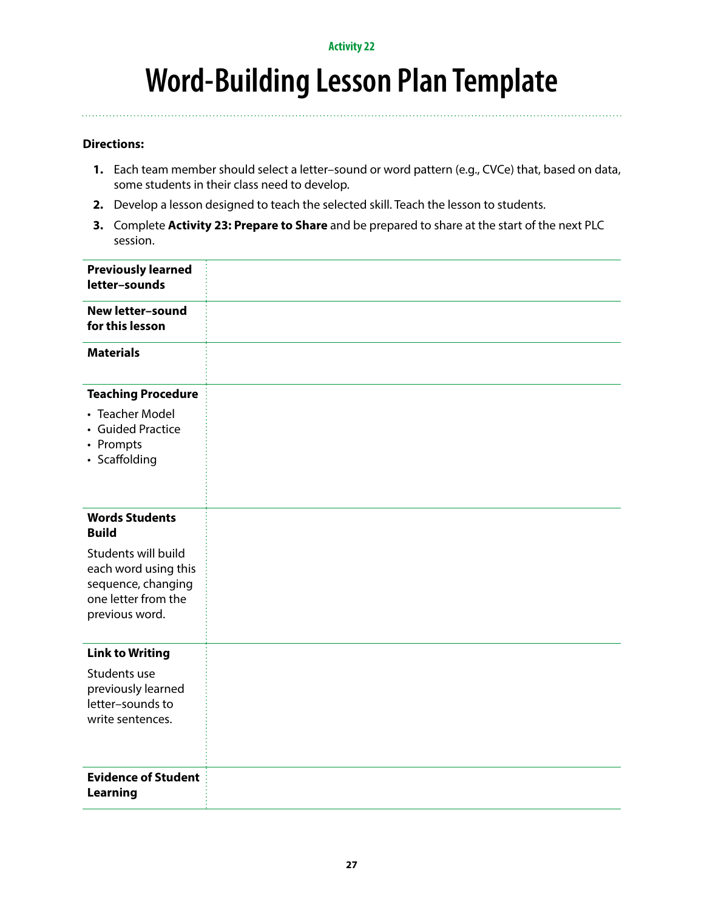### **Word-Building Lesson Plan Template**

### **Directions:**

- **1.** Each team member should select a letter–sound or word pattern (e.g., CVCe) that, based on data, some students in their class need to develop.
- **2.** Develop a lesson designed to teach the selected skill. Teach the lesson to students.
- **3.** Complete **Activity 23: Prepare to Share** and be prepared to share at the start of the next PLC session.

| <b>Previously learned</b><br>letter-sounds                                                                 |  |
|------------------------------------------------------------------------------------------------------------|--|
| <b>New letter-sound</b><br>for this lesson                                                                 |  |
| <b>Materials</b>                                                                                           |  |
| <b>Teaching Procedure</b>                                                                                  |  |
| • Teacher Model<br>• Guided Practice<br>• Prompts<br>• Scaffolding                                         |  |
| <b>Words Students</b><br><b>Build</b>                                                                      |  |
| Students will build<br>each word using this<br>sequence, changing<br>one letter from the<br>previous word. |  |
| <b>Link to Writing</b>                                                                                     |  |
| Students use<br>previously learned<br>letter-sounds to<br>write sentences.                                 |  |
| <b>Evidence of Student</b><br><b>Learning</b>                                                              |  |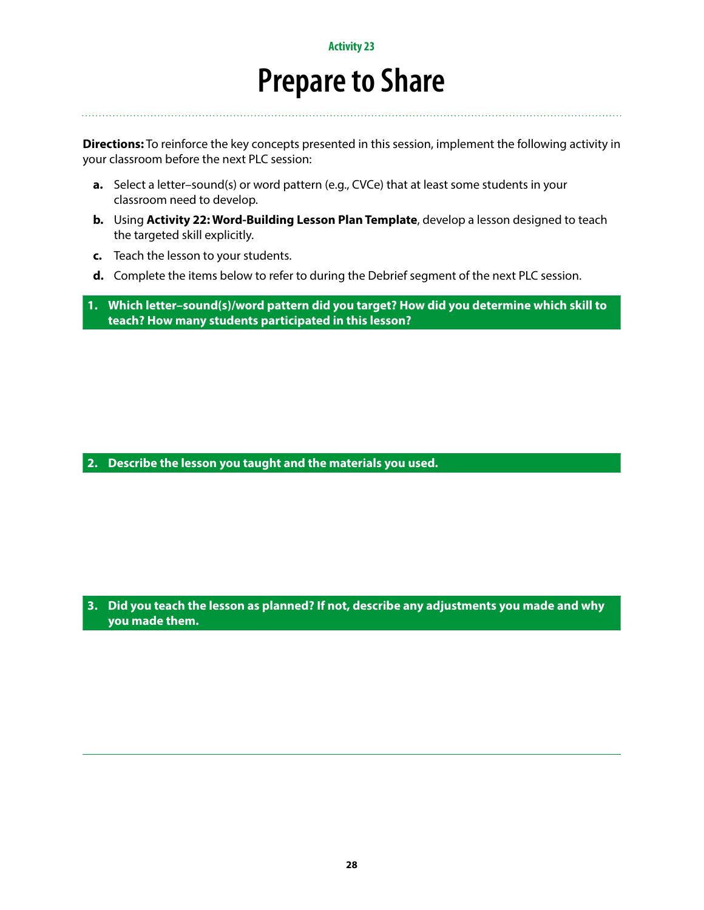### **Prepare to Share**

**Directions:** To reinforce the key concepts presented in this session, implement the following activity in your classroom before the next PLC session:

- **a.** Select a letter–sound(s) or word pattern (e.g., CVCe) that at least some students in your classroom need to develop.
- **b.** Using **Activity 22: Word-Building Lesson Plan Template**, develop a lesson designed to teach the targeted skill explicitly.
- **c.** Teach the lesson to your students.
- **d.** Complete the items below to refer to during the Debrief segment of the next PLC session.

**1. Which letter–sound(s)/word pattern did you target? How did you determine which skill to teach? How many students participated in this lesson?**

**2. Describe the lesson you taught and the materials you used.**

**3. Did you teach the lesson as planned? If not, describe any adjustments you made and why you made them.**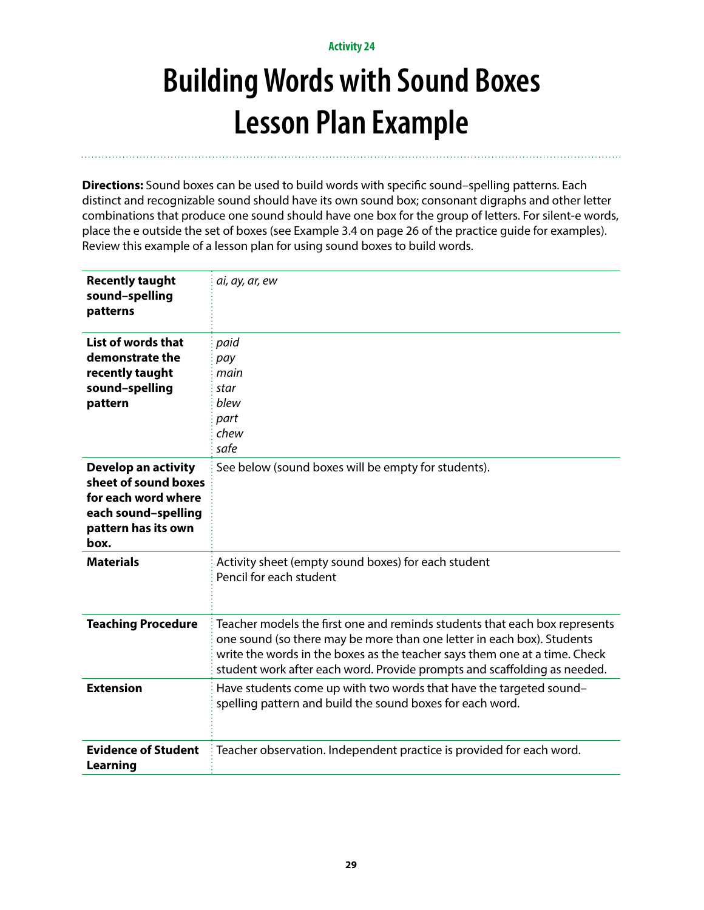# **Building Words with Sound Boxes Lesson Plan Example**

**Directions:** Sound boxes can be used to build words with specific sound–spelling patterns. Each distinct and recognizable sound should have its own sound box; consonant digraphs and other letter combinations that produce one sound should have one box for the group of letters. For silent-e words, place the e outside the set of boxes (see Example 3.4 on page 26 of the practice guide for examples). Review this example of a lesson plan for using sound boxes to build words.

| <b>Recently taught</b><br>sound-spelling<br>patterns                                                                     | ai, ay, ar, ew                                                                                                                                                                                                                                                                                                 |
|--------------------------------------------------------------------------------------------------------------------------|----------------------------------------------------------------------------------------------------------------------------------------------------------------------------------------------------------------------------------------------------------------------------------------------------------------|
| List of words that<br>demonstrate the<br>recently taught<br>sound-spelling<br>pattern                                    | paid<br>pay<br>main<br>star<br>blew<br>part<br>chew<br>safe                                                                                                                                                                                                                                                    |
| Develop an activity<br>sheet of sound boxes<br>for each word where<br>each sound-spelling<br>pattern has its own<br>box. | See below (sound boxes will be empty for students).                                                                                                                                                                                                                                                            |
| <b>Materials</b>                                                                                                         | Activity sheet (empty sound boxes) for each student<br>Pencil for each student                                                                                                                                                                                                                                 |
| <b>Teaching Procedure</b>                                                                                                | Teacher models the first one and reminds students that each box represents<br>one sound (so there may be more than one letter in each box). Students<br>write the words in the boxes as the teacher says them one at a time. Check<br>student work after each word. Provide prompts and scaffolding as needed. |
| <b>Extension</b>                                                                                                         | Have students come up with two words that have the targeted sound-<br>spelling pattern and build the sound boxes for each word.                                                                                                                                                                                |
| <b>Evidence of Student</b><br><b>Learning</b>                                                                            | Teacher observation. Independent practice is provided for each word.                                                                                                                                                                                                                                           |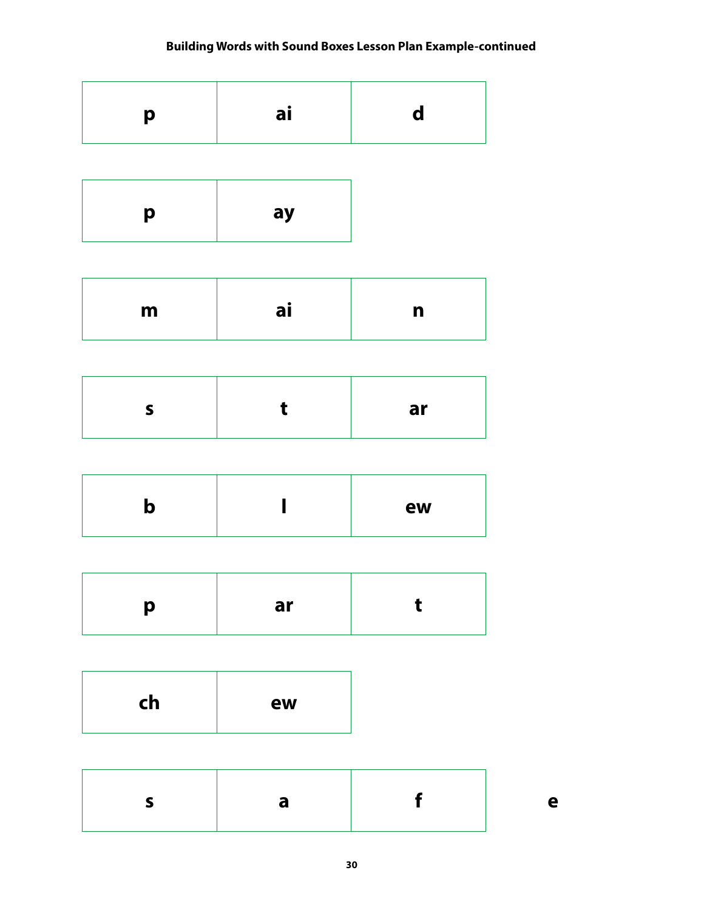### **Building Words with Sound Boxes Lesson Plan Example-continued**

|--|--|--|

| ay<br>p |
|---------|
|---------|

| m | aι |  |
|---|----|--|
|   |    |  |

|--|

|  |  | ew |
|--|--|----|
|--|--|----|

| ar |  |
|----|--|
|    |  |

| ch<br>ew |
|----------|
|----------|

|--|--|--|--|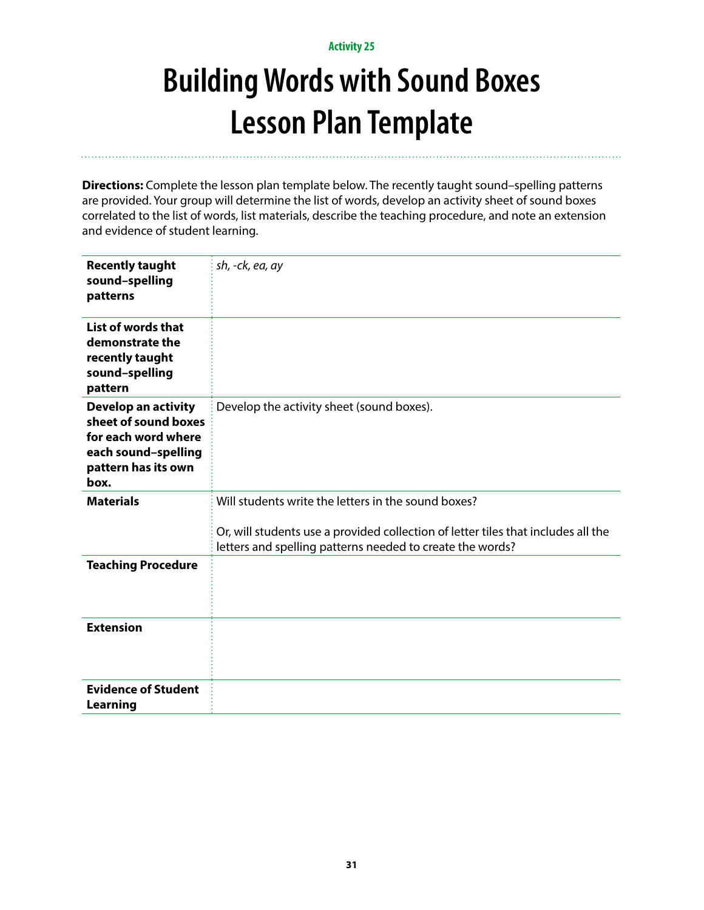# **Building Words with Sound Boxes Lesson Plan Template**

**Directions:** Complete the lesson plan template below. The recently taught sound–spelling patterns are provided. Your group will determine the list of words, develop an activity sheet of sound boxes correlated to the list of words, list materials, describe the teaching procedure, and note an extension and evidence of student learning.

| <b>Recently taught</b><br>sound-spelling<br>patterns                                                                            | sh, -ck, ea, ay                                                                                                                                |
|---------------------------------------------------------------------------------------------------------------------------------|------------------------------------------------------------------------------------------------------------------------------------------------|
| List of words that<br>demonstrate the<br>recently taught<br>sound-spelling<br>pattern                                           |                                                                                                                                                |
| <b>Develop an activity</b><br>sheet of sound boxes<br>for each word where<br>each sound-spelling<br>pattern has its own<br>box. | Develop the activity sheet (sound boxes).                                                                                                      |
| <b>Materials</b>                                                                                                                | Will students write the letters in the sound boxes?                                                                                            |
|                                                                                                                                 | Or, will students use a provided collection of letter tiles that includes all the<br>letters and spelling patterns needed to create the words? |
| <b>Teaching Procedure</b>                                                                                                       |                                                                                                                                                |
| <b>Extension</b>                                                                                                                |                                                                                                                                                |
| <b>Evidence of Student</b><br><b>Learning</b>                                                                                   |                                                                                                                                                |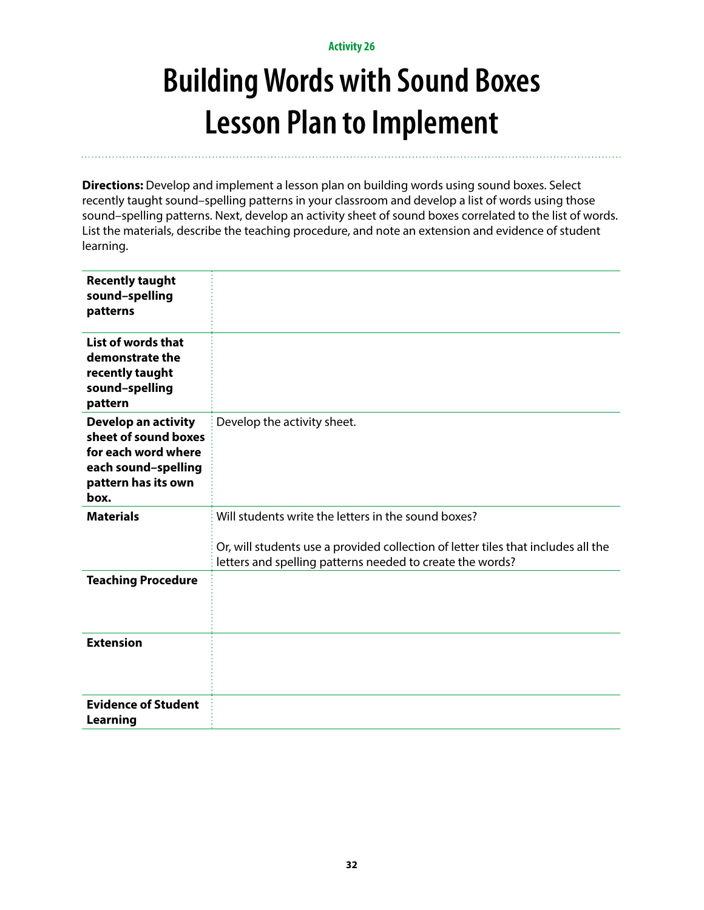# **Building Words with Sound Boxes Lesson Plan to Implement**

**Directions:** Develop and implement a lesson plan on building words using sound boxes. Select recently taught sound–spelling patterns in your classroom and develop a list of words using those sound–spelling patterns. Next, develop an activity sheet of sound boxes correlated to the list of words. List the materials, describe the teaching procedure, and note an extension and evidence of student learning.

| <b>Recently taught</b><br>sound-spelling<br>patterns                                                                            |                                                                                                                                                |
|---------------------------------------------------------------------------------------------------------------------------------|------------------------------------------------------------------------------------------------------------------------------------------------|
| List of words that<br>demonstrate the<br>recently taught<br>sound-spelling<br>pattern                                           |                                                                                                                                                |
| <b>Develop an activity</b><br>sheet of sound boxes<br>for each word where<br>each sound-spelling<br>pattern has its own<br>box. | Develop the activity sheet.                                                                                                                    |
| <b>Materials</b>                                                                                                                | Will students write the letters in the sound boxes?                                                                                            |
|                                                                                                                                 | Or, will students use a provided collection of letter tiles that includes all the<br>letters and spelling patterns needed to create the words? |
| <b>Teaching Procedure</b>                                                                                                       |                                                                                                                                                |
| <b>Extension</b>                                                                                                                |                                                                                                                                                |
| <b>Evidence of Student</b><br>Learning                                                                                          |                                                                                                                                                |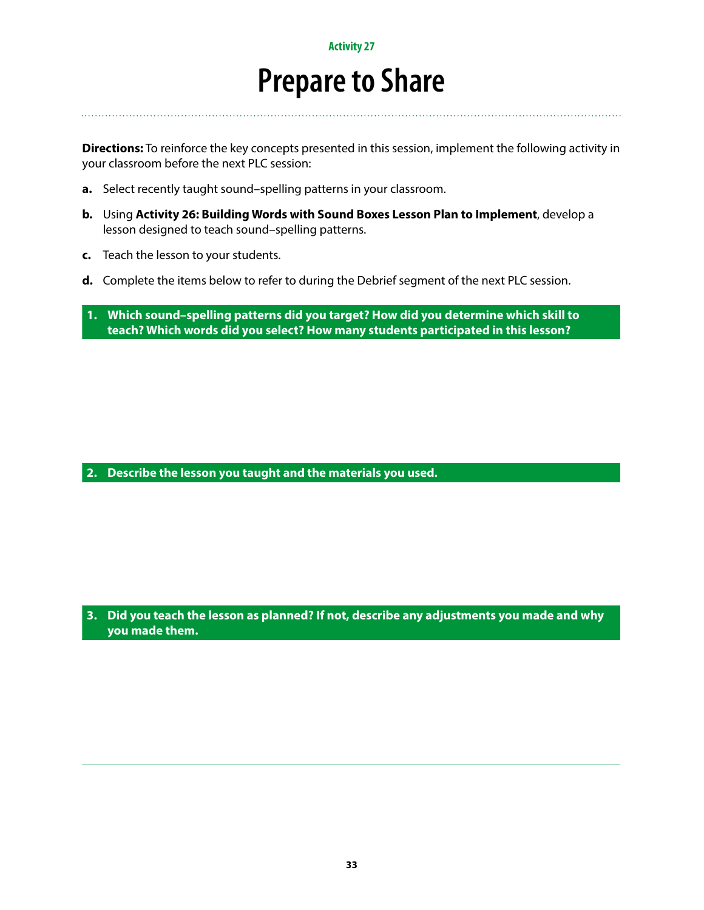### **Prepare to Share**

**Directions:** To reinforce the key concepts presented in this session, implement the following activity in your classroom before the next PLC session:

- **a.** Select recently taught sound–spelling patterns in your classroom.
- **b.** Using **Activity 26: Building Words with Sound Boxes Lesson Plan to Implement**, develop a lesson designed to teach sound–spelling patterns.
- **c.** Teach the lesson to your students.
- **d.** Complete the items below to refer to during the Debrief segment of the next PLC session.
- **1. Which sound–spelling patterns did you target? How did you determine which skill to teach? Which words did you select? How many students participated in this lesson?**

**2. Describe the lesson you taught and the materials you used.**

**3. Did you teach the lesson as planned? If not, describe any adjustments you made and why you made them.**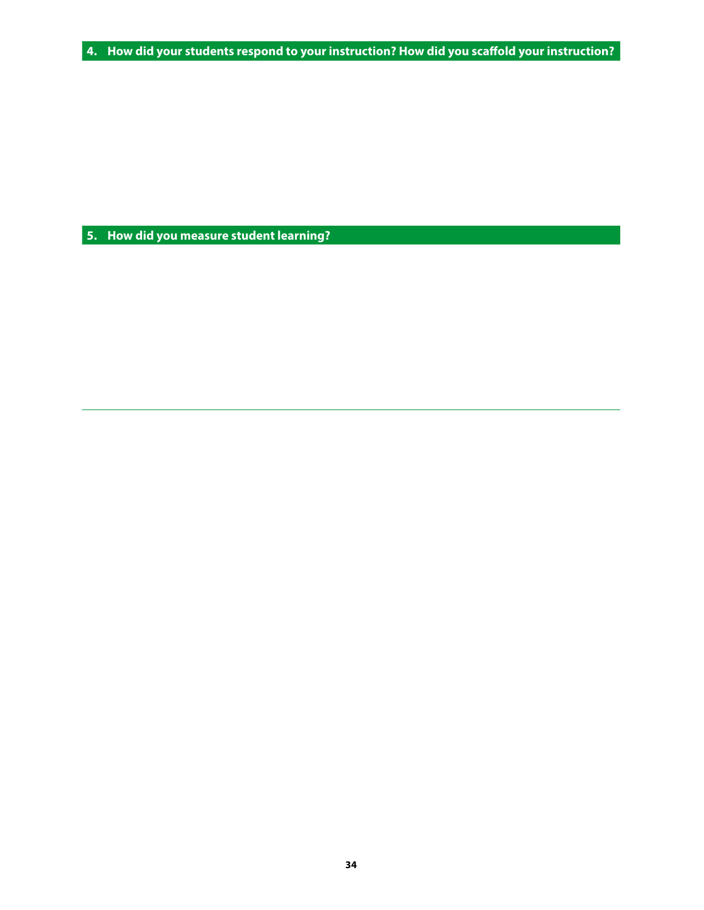**4. How did your students respond to your instruction? How did you scaffold your instruction?**

**5. How did you measure student learning?**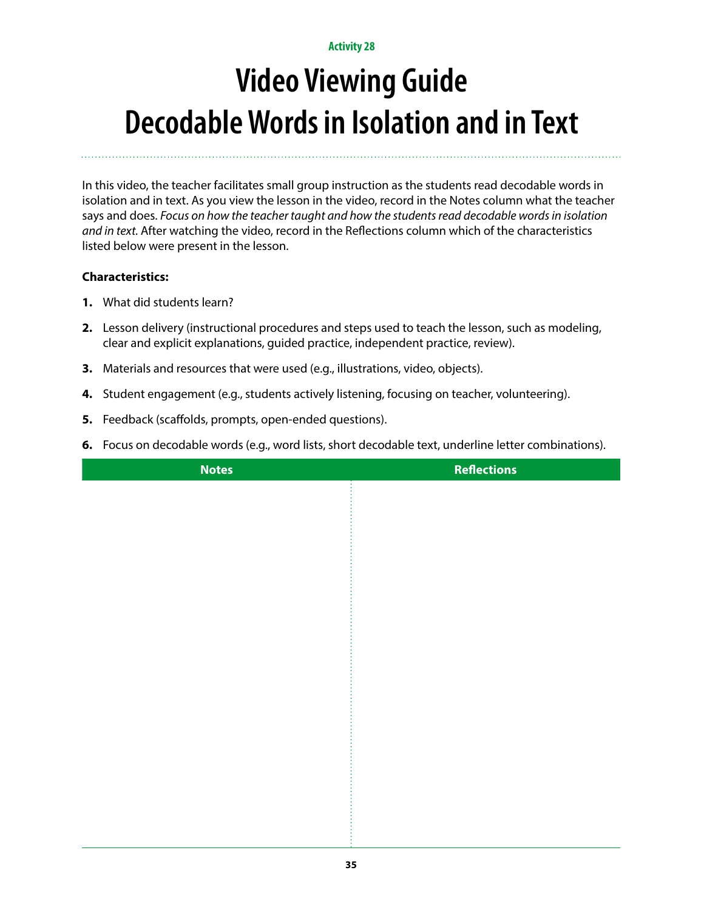# **Video Viewing Guide Decodable Words in Isolation and in Text**

In this video, the teacher facilitates small group instruction as the students read decodable words in isolation and in text. As you view the lesson in the video, record in the Notes column what the teacher says and does. *Focus on how the teacher taught and how the students read decodable words in isolation and in text.* After watching the video, record in the Reflections column which of the characteristics listed below were present in the lesson.

- **1.** What did students learn?
- **2.** Lesson delivery (instructional procedures and steps used to teach the lesson, such as modeling, clear and explicit explanations, guided practice, independent practice, review).
- **3.** Materials and resources that were used (e.g., illustrations, video, objects).
- **4.** Student engagement (e.g., students actively listening, focusing on teacher, volunteering).
- **5.** Feedback (scaffolds, prompts, open-ended questions).
- **6.** Focus on decodable words (e.g., word lists, short decodable text, underline letter combinations).

| <b>Notes</b> | <b>Reflections</b> |
|--------------|--------------------|
|              |                    |
|              |                    |
|              |                    |
|              |                    |
|              |                    |
|              |                    |
|              |                    |
|              |                    |
|              |                    |
|              |                    |
|              |                    |
|              |                    |
|              |                    |
|              |                    |
|              |                    |
|              |                    |
|              |                    |
|              |                    |
|              |                    |
|              |                    |
|              |                    |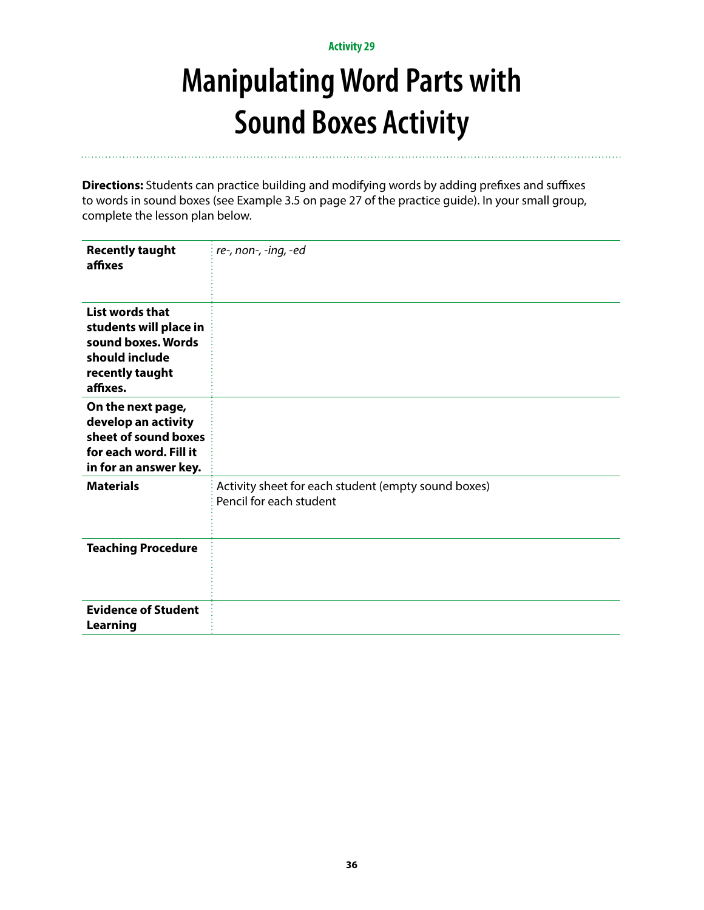## **Manipulating Word Parts with Sound Boxes Activity**

**Directions:** Students can practice building and modifying words by adding prefixes and suffixes to words in sound boxes (see Example 3.5 on page 27 of the practice guide). In your small group, complete the lesson plan below.

| <b>Recently taught</b><br>affixes                                                                                   | re-, non-, -ing, -ed                                                           |
|---------------------------------------------------------------------------------------------------------------------|--------------------------------------------------------------------------------|
| List words that<br>students will place in<br>sound boxes. Words<br>should include<br>recently taught<br>affixes.    |                                                                                |
| On the next page,<br>develop an activity<br>sheet of sound boxes<br>for each word. Fill it<br>in for an answer key. |                                                                                |
| <b>Materials</b>                                                                                                    | Activity sheet for each student (empty sound boxes)<br>Pencil for each student |
| <b>Teaching Procedure</b>                                                                                           |                                                                                |
| <b>Evidence of Student</b><br><b>Learning</b>                                                                       |                                                                                |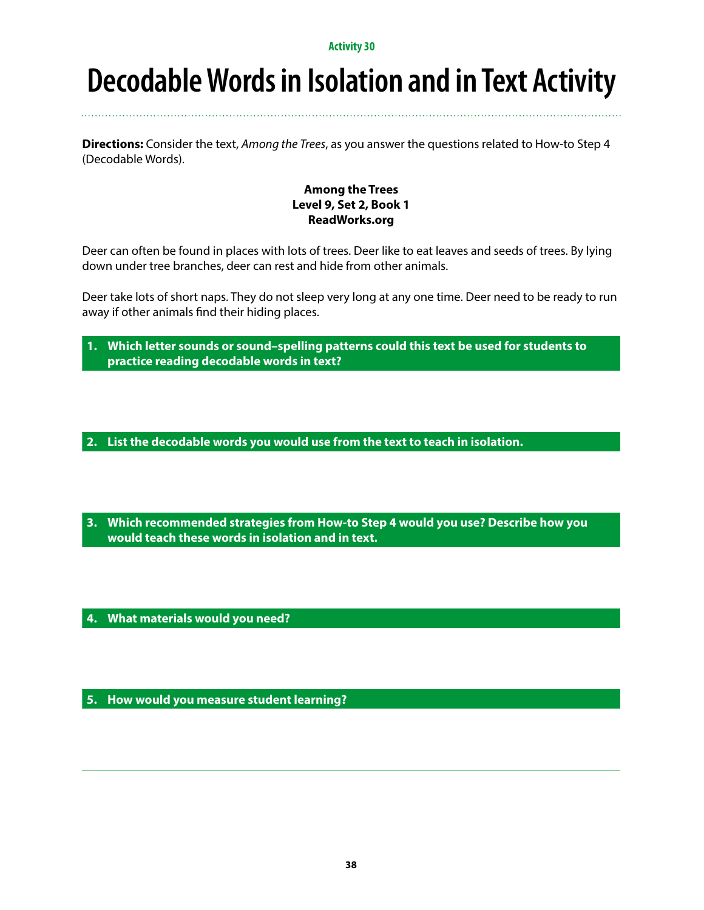### **Decodable Words in Isolation and in Text Activity**

**Directions:** Consider the text, *Among the Trees*, as you answer the questions related to How-to Step 4 (Decodable Words).

### **Among the Trees Level 9, Set 2, Book 1 ReadWorks.org**

Deer can often be found in places with lots of trees. Deer like to eat leaves and seeds of trees. By lying down under tree branches, deer can rest and hide from other animals.

Deer take lots of short naps. They do not sleep very long at any one time. Deer need to be ready to run away if other animals find their hiding places.

**1. Which letter sounds or sound–spelling patterns could this text be used for students to practice reading decodable words in text?**

**2. List the decodable words you would use from the text to teach in isolation.** 

**3. Which recommended strategies from How-to Step 4 would you use? Describe how you would teach these words in isolation and in text.**

**4. What materials would you need?**

**5. How would you measure student learning?**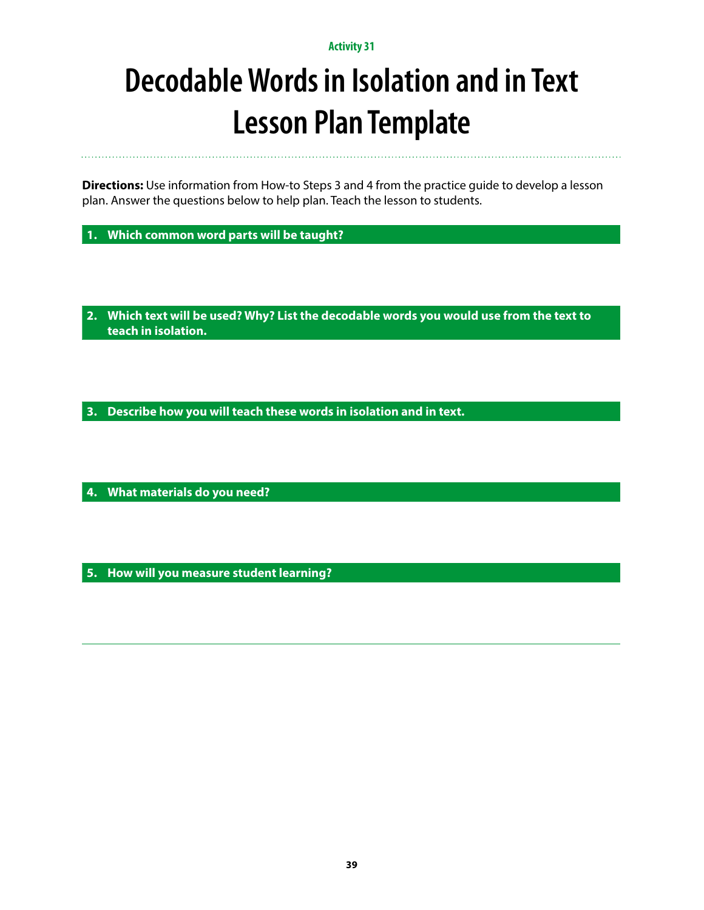## **Decodable Words in Isolation and in Text Lesson Plan Template**

**Directions:** Use information from How-to Steps 3 and 4 from the practice guide to develop a lesson plan. Answer the questions below to help plan. Teach the lesson to students.

**1. Which common word parts will be taught?** 

**2. Which text will be used? Why? List the decodable words you would use from the text to teach in isolation.** 

**3. Describe how you will teach these words in isolation and in text.**

**4. What materials do you need?**

**5. How will you measure student learning?**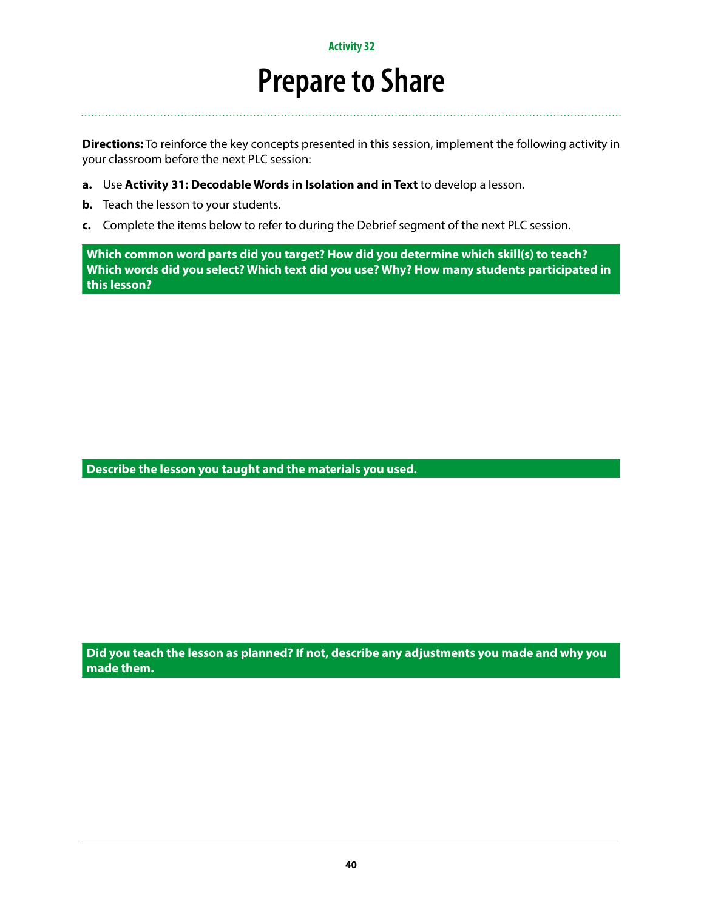### **Prepare to Share**

**Directions:** To reinforce the key concepts presented in this session, implement the following activity in your classroom before the next PLC session:

- **a.** Use **Activity 31: Decodable Words in Isolation and in Text** to develop a lesson.
- **b.** Teach the lesson to your students.
- **c.** Complete the items below to refer to during the Debrief segment of the next PLC session.

**Which common word parts did you target? How did you determine which skill(s) to teach? Which words did you select? Which text did you use? Why? How many students participated in this lesson?**

**Describe the lesson you taught and the materials you used.** 

**Did you teach the lesson as planned? If not, describe any adjustments you made and why you made them.**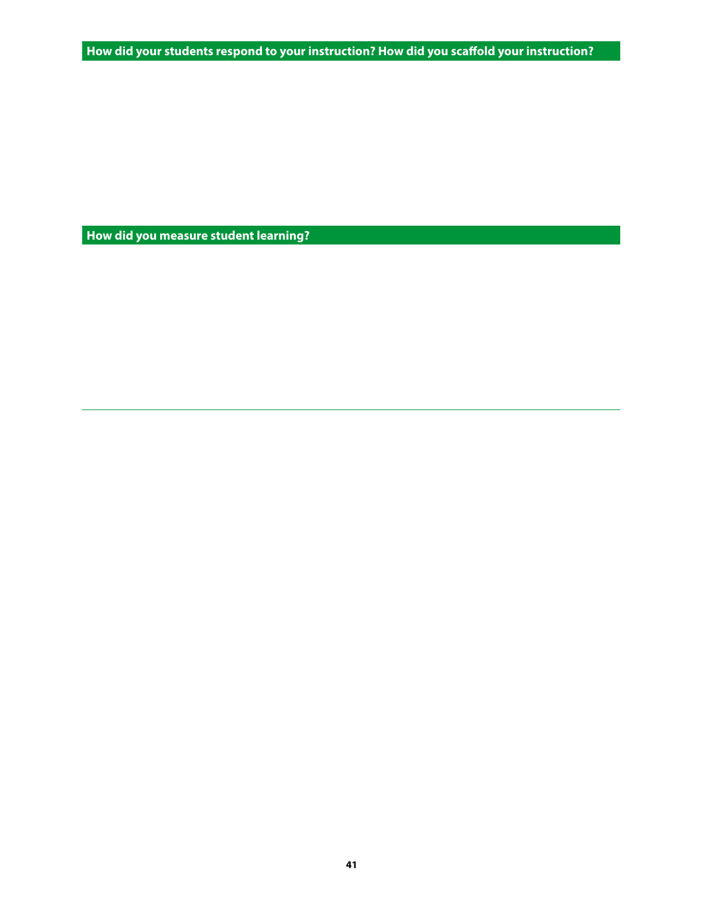**How did your students respond to your instruction? How did you scaffold your instruction?**

**How did you measure student learning?**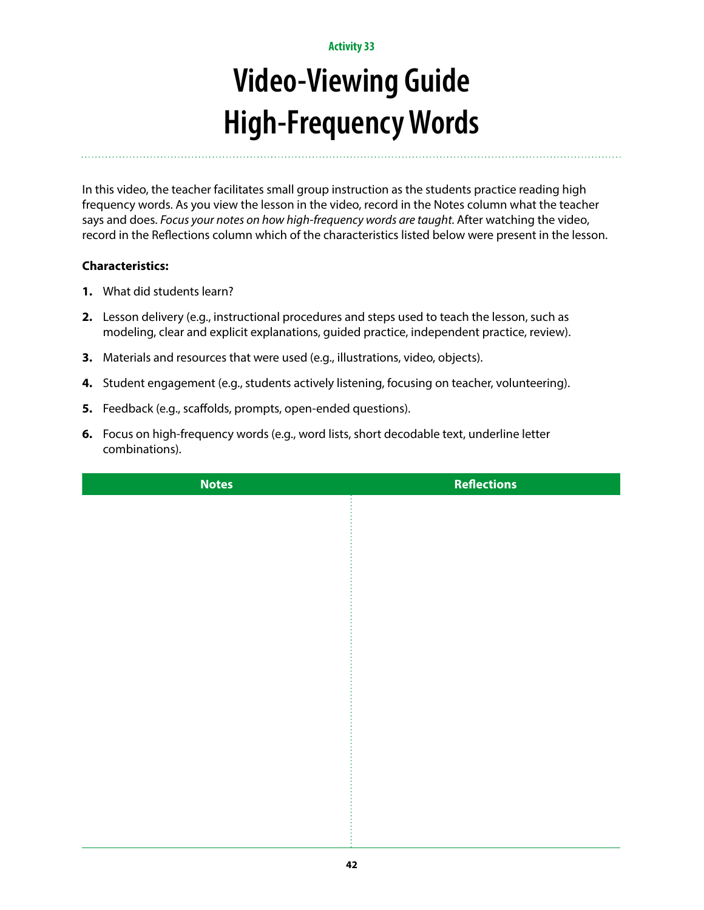# **Video-Viewing Guide High-Frequency Words**

In this video, the teacher facilitates small group instruction as the students practice reading high frequency words. As you view the lesson in the video, record in the Notes column what the teacher says and does. *Focus your notes on how high-frequency words are taught.* After watching the video, record in the Reflections column which of the characteristics listed below were present in the lesson.

- **1.** What did students learn?
- **2.** Lesson delivery (e.g., instructional procedures and steps used to teach the lesson, such as modeling, clear and explicit explanations, guided practice, independent practice, review).
- **3.** Materials and resources that were used (e.g., illustrations, video, objects).
- **4.** Student engagement (e.g., students actively listening, focusing on teacher, volunteering).
- **5.** Feedback (e.g., scaffolds, prompts, open-ended questions).
- **6.** Focus on high-frequency words (e.g., word lists, short decodable text, underline letter combinations).

| <b>Notes</b> | <b>Reflections</b> |
|--------------|--------------------|
|              |                    |
|              |                    |
|              |                    |
|              |                    |
|              |                    |
|              |                    |
|              |                    |
|              |                    |
|              |                    |
|              |                    |
|              |                    |
|              |                    |
|              |                    |
|              |                    |
|              |                    |
|              |                    |
|              |                    |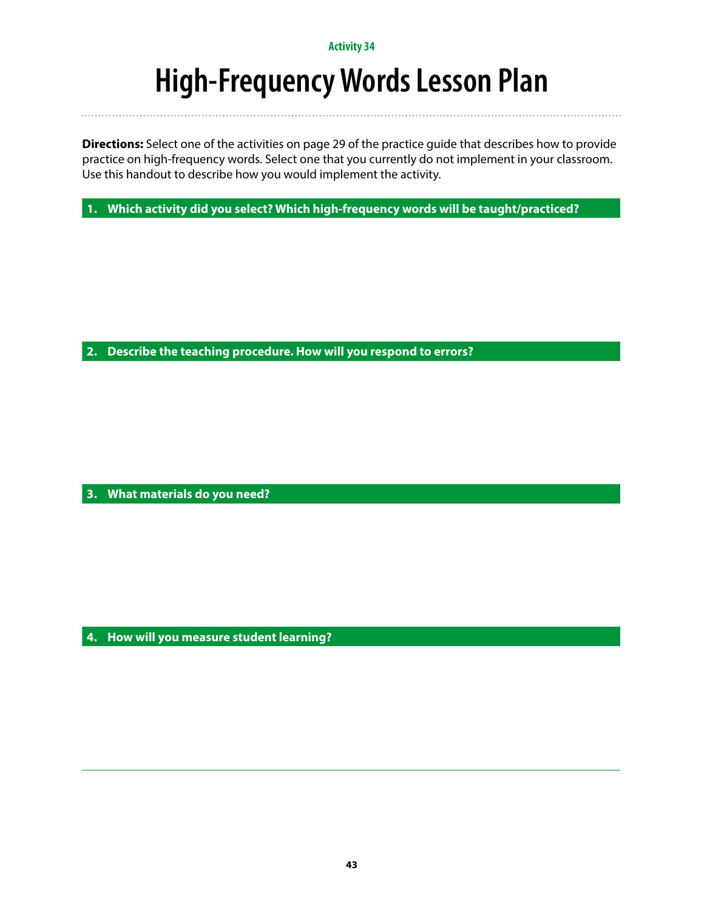### **High-Frequency Words Lesson Plan**

**Directions:** Select one of the activities on page 29 of the practice guide that describes how to provide practice on high-frequency words. Select one that you currently do not implement in your classroom. Use this handout to describe how you would implement the activity.

**1. Which activity did you select? Which high-frequency words will be taught/practiced?**

**2. Describe the teaching procedure. How will you respond to errors?**

**3. What materials do you need?**

**4. How will you measure student learning?**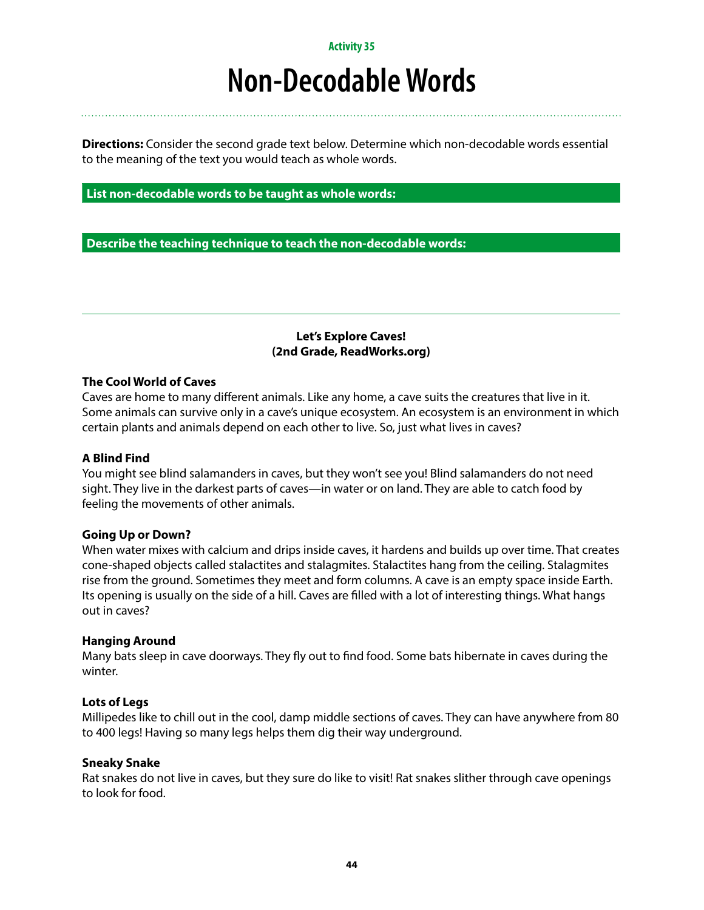### **Non-Decodable Words**

**Directions:** Consider the second grade text below. Determine which non-decodable words essential to the meaning of the text you would teach as whole words.

#### **List non-decodable words to be taught as whole words:**

**Describe the teaching technique to teach the non-decodable words:**

#### **Let's Explore Caves! (2nd Grade, ReadWorks.org)**

#### **The Cool World of Caves**

Caves are home to many different animals. Like any home, a cave suits the creatures that live in it. Some animals can survive only in a cave's unique ecosystem. An ecosystem is an environment in which certain plants and animals depend on each other to live. So, just what lives in caves?

#### **A Blind Find**

You might see blind salamanders in caves, but they won't see you! Blind salamanders do not need sight. They live in the darkest parts of caves—in water or on land. They are able to catch food by feeling the movements of other animals.

#### **Going Up or Down?**

When water mixes with calcium and drips inside caves, it hardens and builds up over time. That creates cone-shaped objects called stalactites and stalagmites. Stalactites hang from the ceiling. Stalagmites rise from the ground. Sometimes they meet and form columns. A cave is an empty space inside Earth. Its opening is usually on the side of a hill. Caves are filled with a lot of interesting things. What hangs out in caves?

#### **Hanging Around**

Many bats sleep in cave doorways. They fly out to find food. Some bats hibernate in caves during the winter.

#### **Lots of Legs**

Millipedes like to chill out in the cool, damp middle sections of caves. They can have anywhere from 80 to 400 legs! Having so many legs helps them dig their way underground.

#### **Sneaky Snake**

Rat snakes do not live in caves, but they sure do like to visit! Rat snakes slither through cave openings to look for food.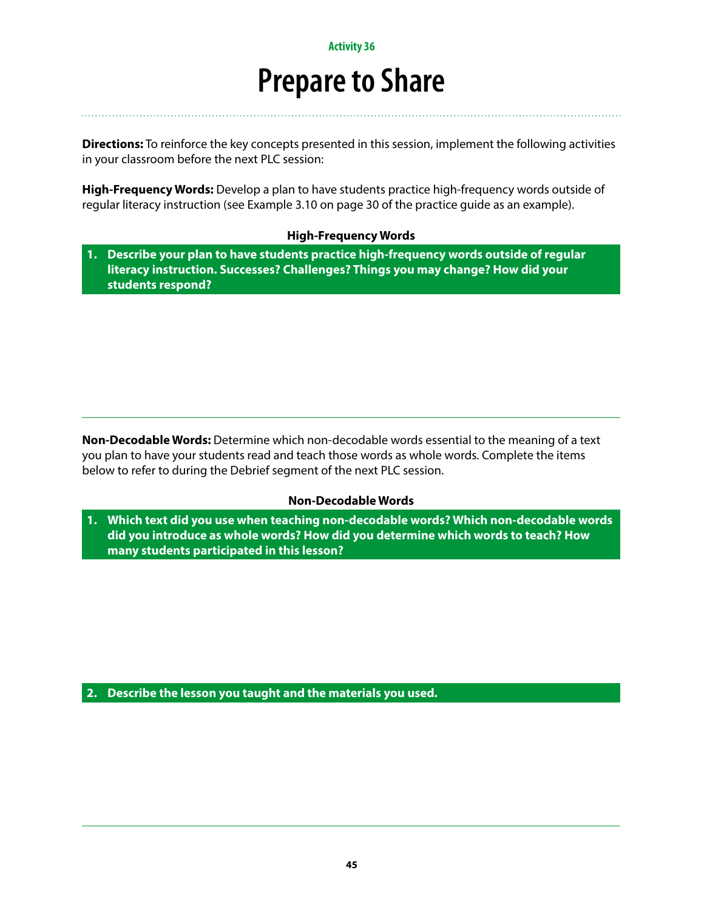### **Prepare to Share**

**Directions:** To reinforce the key concepts presented in this session, implement the following activities in your classroom before the next PLC session:

**High-Frequency Words:** Develop a plan to have students practice high-frequency words outside of regular literacy instruction (see Example 3.10 on page 30 of the practice guide as an example).

#### **High-Frequency Words**

**1. Describe your plan to have students practice high-frequency words outside of regular literacy instruction. Successes? Challenges? Things you may change? How did your students respond?**

**Non-Decodable Words:** Determine which non-decodable words essential to the meaning of a text you plan to have your students read and teach those words as whole words. Complete the items below to refer to during the Debrief segment of the next PLC session.

#### **Non-Decodable Words**

**1. Which text did you use when teaching non-decodable words? Which non-decodable words did you introduce as whole words? How did you determine which words to teach? How many students participated in this lesson?**

**2. Describe the lesson you taught and the materials you used.**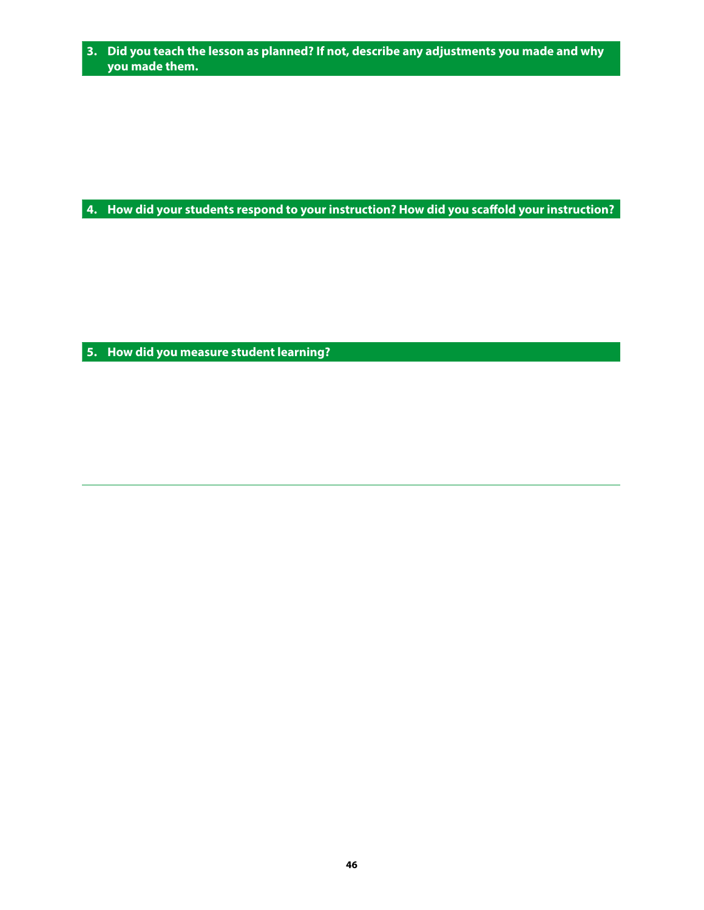**3. Did you teach the lesson as planned? If not, describe any adjustments you made and why you made them.**

**4. How did your students respond to your instruction? How did you scaffold your instruction?**

**5. How did you measure student learning?**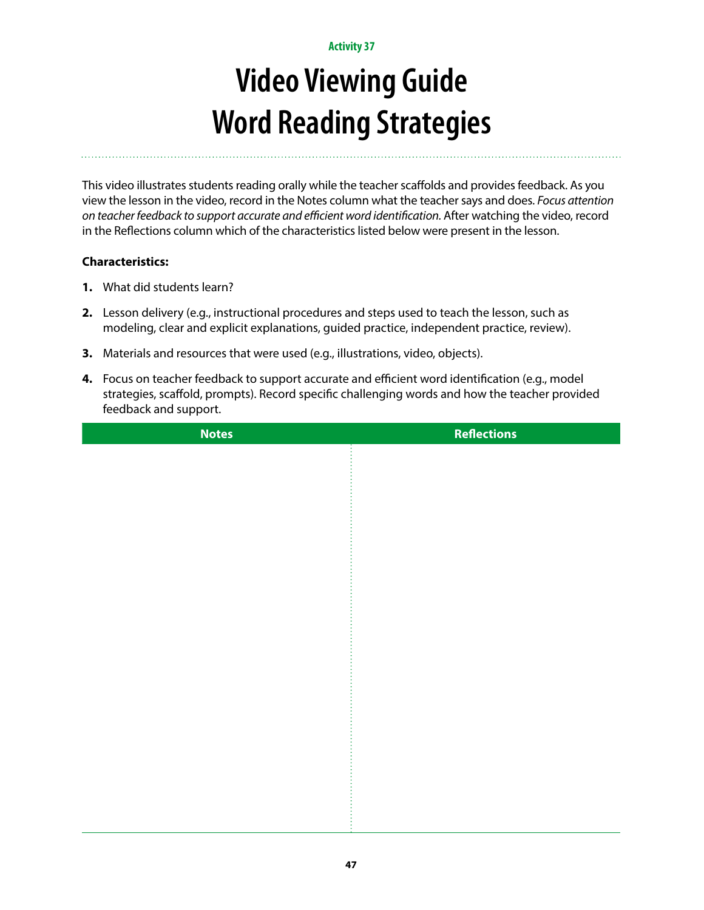# **Video Viewing Guide Word Reading Strategies**

This video illustrates students reading orally while the teacher scaffolds and provides feedback. As you view the lesson in the video, record in the Notes column what the teacher says and does. *Focus attention on teacher feedback to support accurate and efficient word identification.* After watching the video, record in the Reflections column which of the characteristics listed below were present in the lesson.

- **1.** What did students learn?
- **2.** Lesson delivery (e.g., instructional procedures and steps used to teach the lesson, such as modeling, clear and explicit explanations, guided practice, independent practice, review).
- **3.** Materials and resources that were used (e.g., illustrations, video, objects).
- **4.** Focus on teacher feedback to support accurate and efficient word identification (e.g., model strategies, scaffold, prompts). Record specific challenging words and how the teacher provided feedback and support.

| <b>Notes</b> | <b>Reflections</b> |
|--------------|--------------------|
|              |                    |
|              |                    |
|              |                    |
|              |                    |
|              |                    |
|              |                    |
|              |                    |
|              |                    |
|              |                    |
|              |                    |
|              |                    |
|              |                    |
|              |                    |
|              |                    |
|              |                    |
|              |                    |
|              |                    |
|              |                    |
|              |                    |
|              |                    |
|              |                    |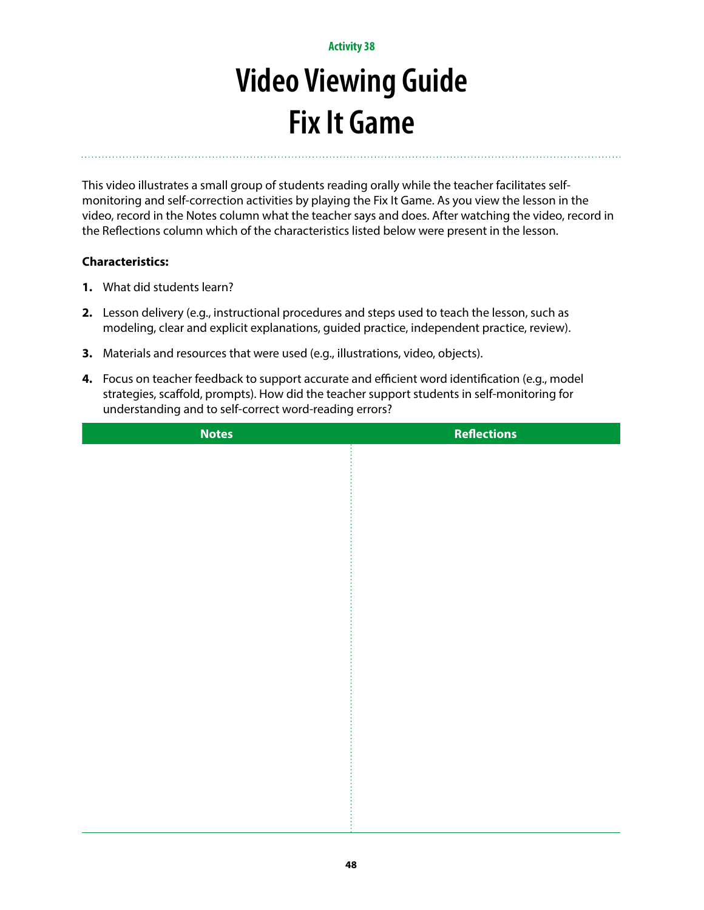# **Video Viewing Guide Fix It Game**

This video illustrates a small group of students reading orally while the teacher facilitates selfmonitoring and self-correction activities by playing the Fix It Game. As you view the lesson in the video, record in the Notes column what the teacher says and does. After watching the video, record in the Reflections column which of the characteristics listed below were present in the lesson.

- **1.** What did students learn?
- **2.** Lesson delivery (e.g., instructional procedures and steps used to teach the lesson, such as modeling, clear and explicit explanations, guided practice, independent practice, review).
- **3.** Materials and resources that were used (e.g., illustrations, video, objects).
- **4.** Focus on teacher feedback to support accurate and efficient word identification (e.g., model strategies, scaffold, prompts). How did the teacher support students in self-monitoring for understanding and to self-correct word-reading errors?

| <b>Notes</b> | <b>Reflections</b> |
|--------------|--------------------|
|              |                    |
|              |                    |
|              |                    |
|              |                    |
|              |                    |
|              |                    |
|              |                    |
|              |                    |
|              |                    |
|              |                    |
|              |                    |
|              |                    |
|              |                    |
|              |                    |
|              |                    |
|              |                    |
|              |                    |
|              |                    |
|              |                    |
|              |                    |
|              |                    |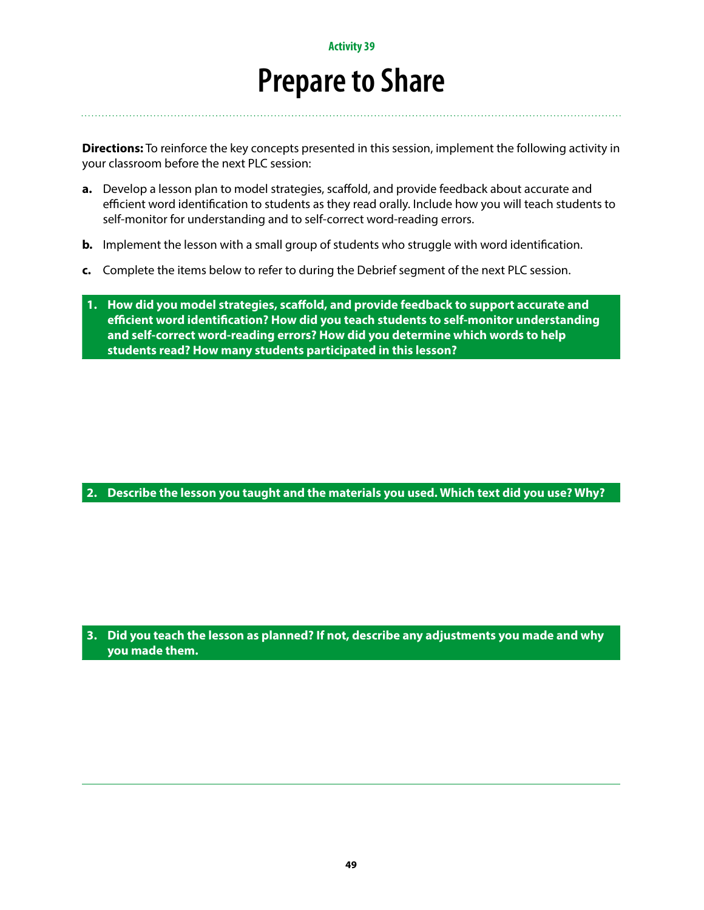### **Prepare to Share**

**Directions:** To reinforce the key concepts presented in this session, implement the following activity in your classroom before the next PLC session:

- **a.** Develop a lesson plan to model strategies, scaffold, and provide feedback about accurate and efficient word identification to students as they read orally. Include how you will teach students to self-monitor for understanding and to self-correct word-reading errors.
- **b.** Implement the lesson with a small group of students who struggle with word identification.
- **c.** Complete the items below to refer to during the Debrief segment of the next PLC session.
- **1. How did you model strategies, scaffold, and provide feedback to support accurate and efficient word identification? How did you teach students to self-monitor understanding and self-correct word-reading errors? How did you determine which words to help students read? How many students participated in this lesson?**

**2. Describe the lesson you taught and the materials you used. Which text did you use? Why?**

**3. Did you teach the lesson as planned? If not, describe any adjustments you made and why you made them.**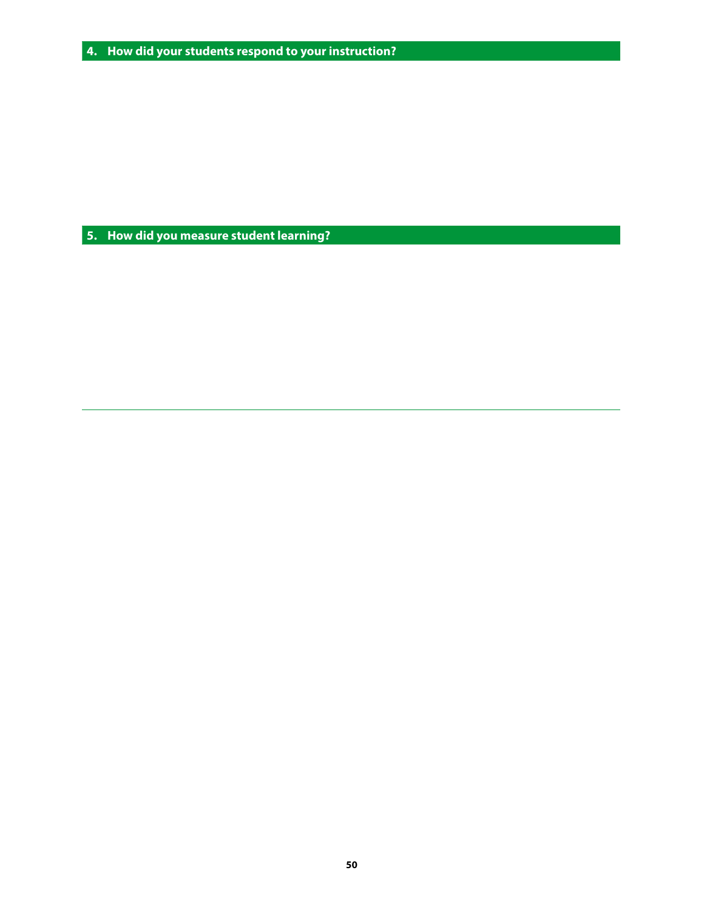**5. How did you measure student learning?**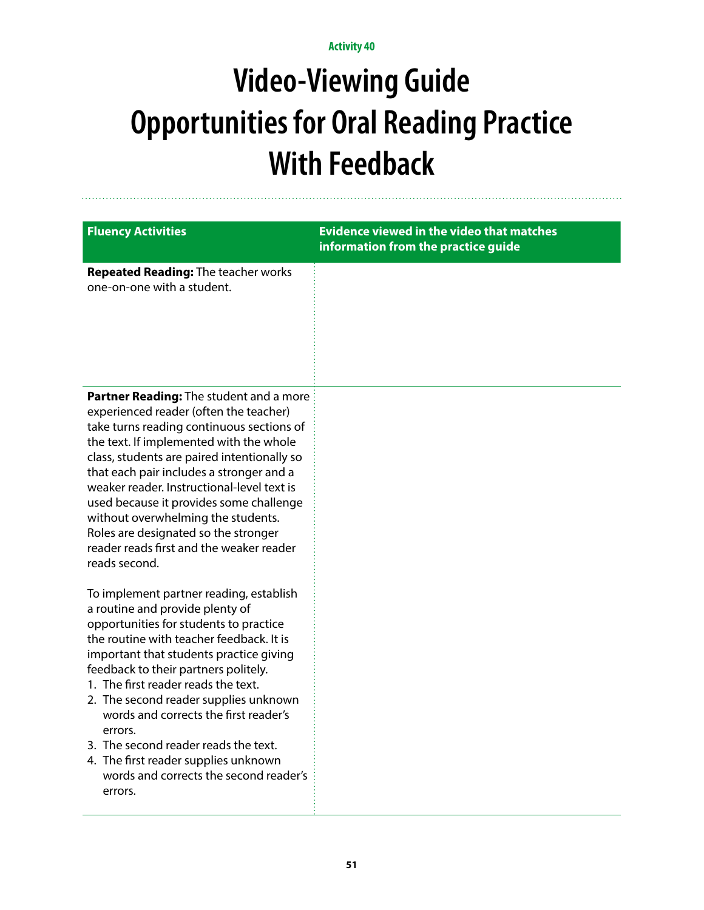# **Video-Viewing Guide Opportunities for Oral Reading Practice With Feedback**

| <b>Fluency Activities</b>                                                                                                                                                                                                                                                                                                                                                                                                                                                                                                    | <b>Evidence viewed in the video that matches</b><br>information from the practice guide |
|------------------------------------------------------------------------------------------------------------------------------------------------------------------------------------------------------------------------------------------------------------------------------------------------------------------------------------------------------------------------------------------------------------------------------------------------------------------------------------------------------------------------------|-----------------------------------------------------------------------------------------|
| <b>Repeated Reading: The teacher works</b><br>one-on-one with a student.                                                                                                                                                                                                                                                                                                                                                                                                                                                     |                                                                                         |
| Partner Reading: The student and a more<br>experienced reader (often the teacher)<br>take turns reading continuous sections of<br>the text. If implemented with the whole<br>class, students are paired intentionally so<br>that each pair includes a stronger and a<br>weaker reader. Instructional-level text is<br>used because it provides some challenge<br>without overwhelming the students.<br>Roles are designated so the stronger<br>reader reads first and the weaker reader<br>reads second.                     |                                                                                         |
| To implement partner reading, establish<br>a routine and provide plenty of<br>opportunities for students to practice<br>the routine with teacher feedback. It is<br>important that students practice giving<br>feedback to their partners politely.<br>1. The first reader reads the text.<br>2. The second reader supplies unknown<br>words and corrects the first reader's<br>errors.<br>3. The second reader reads the text.<br>4. The first reader supplies unknown<br>words and corrects the second reader's<br>errors. |                                                                                         |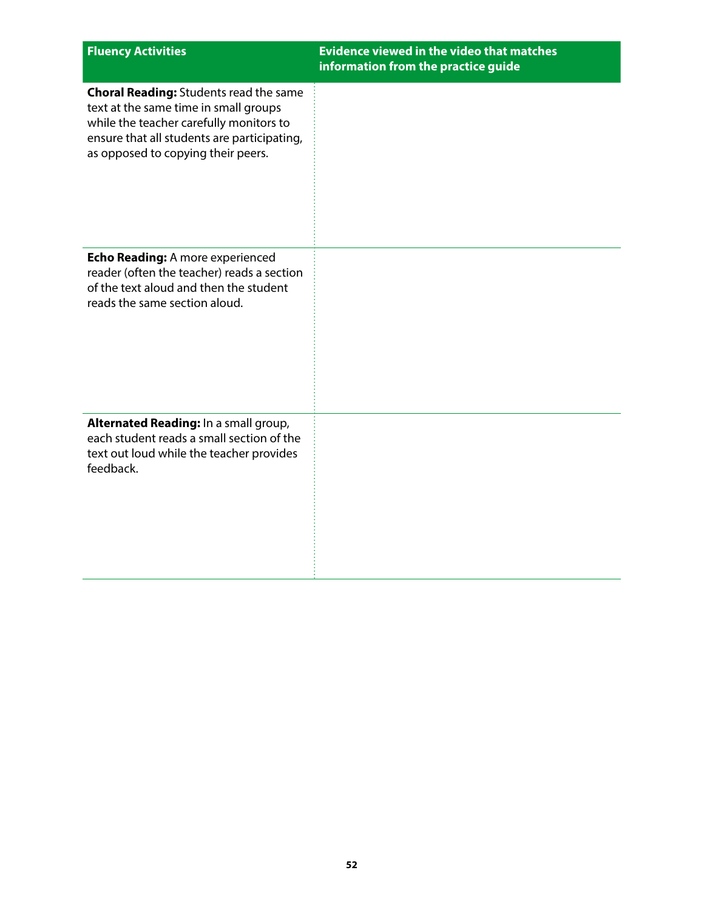| <b>Fluency Activities</b>                                                                                                                                                                                              | <b>Evidence viewed in the video that matches</b><br>information from the practice guide |
|------------------------------------------------------------------------------------------------------------------------------------------------------------------------------------------------------------------------|-----------------------------------------------------------------------------------------|
| <b>Choral Reading: Students read the same</b><br>text at the same time in small groups<br>while the teacher carefully monitors to<br>ensure that all students are participating,<br>as opposed to copying their peers. |                                                                                         |
| Echo Reading: A more experienced<br>reader (often the teacher) reads a section<br>of the text aloud and then the student<br>reads the same section aloud.                                                              |                                                                                         |
| Alternated Reading: In a small group,<br>each student reads a small section of the<br>text out loud while the teacher provides<br>feedback.                                                                            |                                                                                         |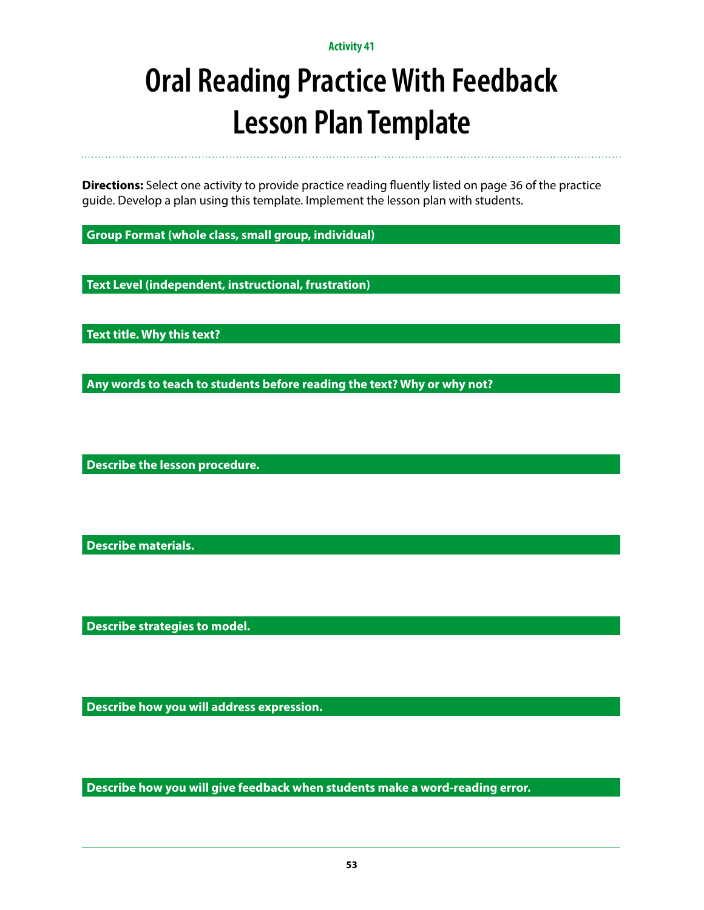# **Oral Reading Practice With Feedback Lesson Plan Template**

**Directions:** Select one activity to provide practice reading fluently listed on page 36 of the practice guide. Develop a plan using this template. Implement the lesson plan with students.

**Group Format (whole class, small group, individual)**

**Text Level (independent, instructional, frustration)**

**Text title. Why this text?**

**Any words to teach to students before reading the text? Why or why not?**

**Describe the lesson procedure.**

**Describe materials.**

**Describe strategies to model.**

**Describe how you will address expression.**

**Describe how you will give feedback when students make a word-reading error.**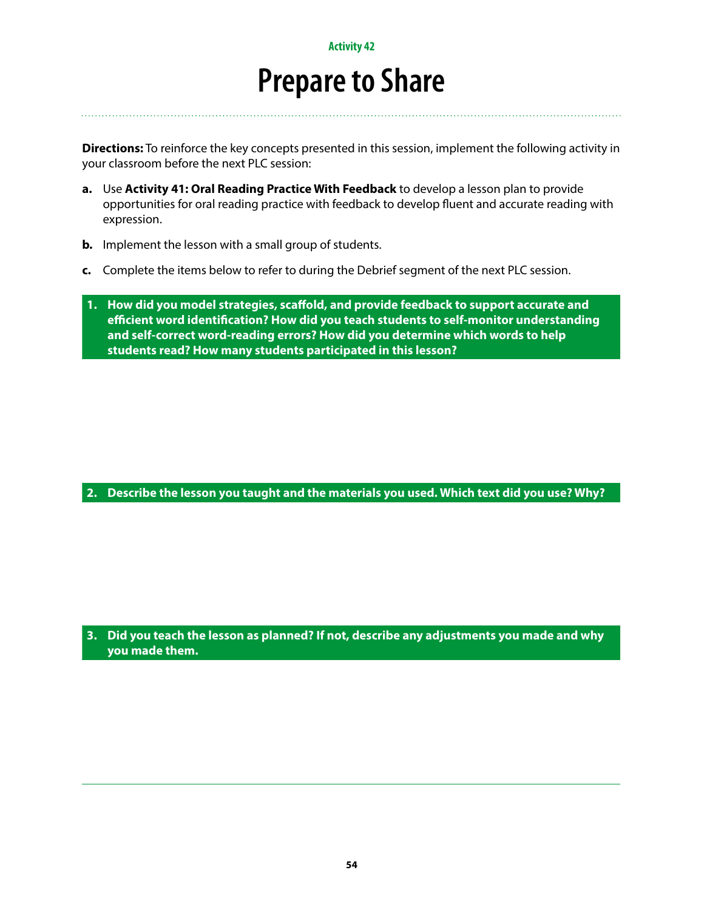### **Prepare to Share**

**Directions:** To reinforce the key concepts presented in this session, implement the following activity in your classroom before the next PLC session:

- **a.** Use **Activity 41: Oral Reading Practice With Feedback** to develop a lesson plan to provide opportunities for oral reading practice with feedback to develop fluent and accurate reading with expression.
- **b.** Implement the lesson with a small group of students.
- **c.** Complete the items below to refer to during the Debrief segment of the next PLC session.

**1. How did you model strategies, scaffold, and provide feedback to support accurate and efficient word identification? How did you teach students to self-monitor understanding and self-correct word-reading errors? How did you determine which words to help students read? How many students participated in this lesson?**

**2. Describe the lesson you taught and the materials you used. Which text did you use? Why?**

**3. Did you teach the lesson as planned? If not, describe any adjustments you made and why you made them.**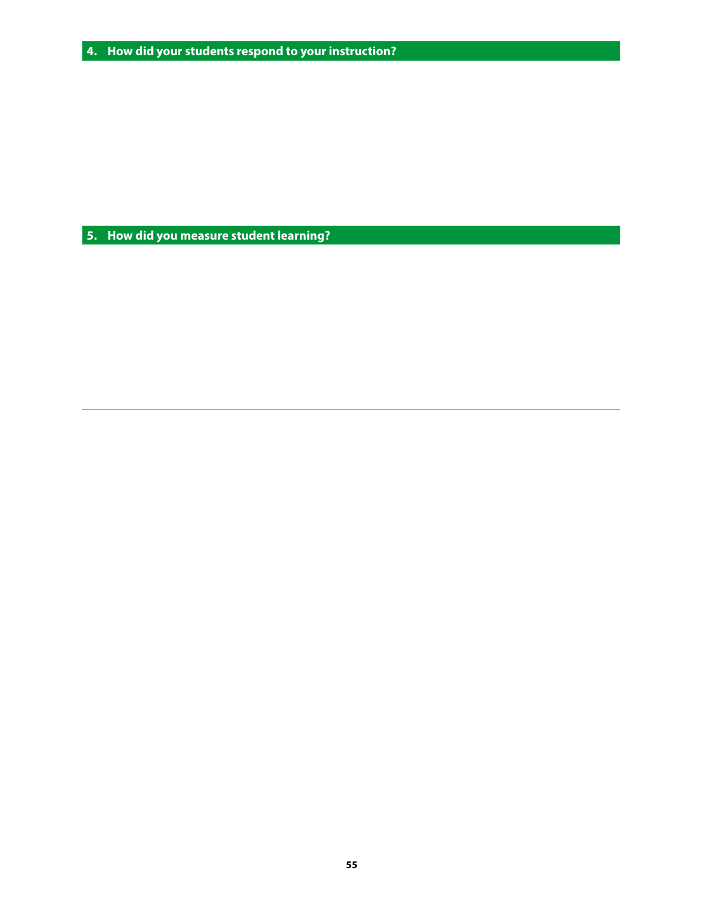**5. How did you measure student learning?**